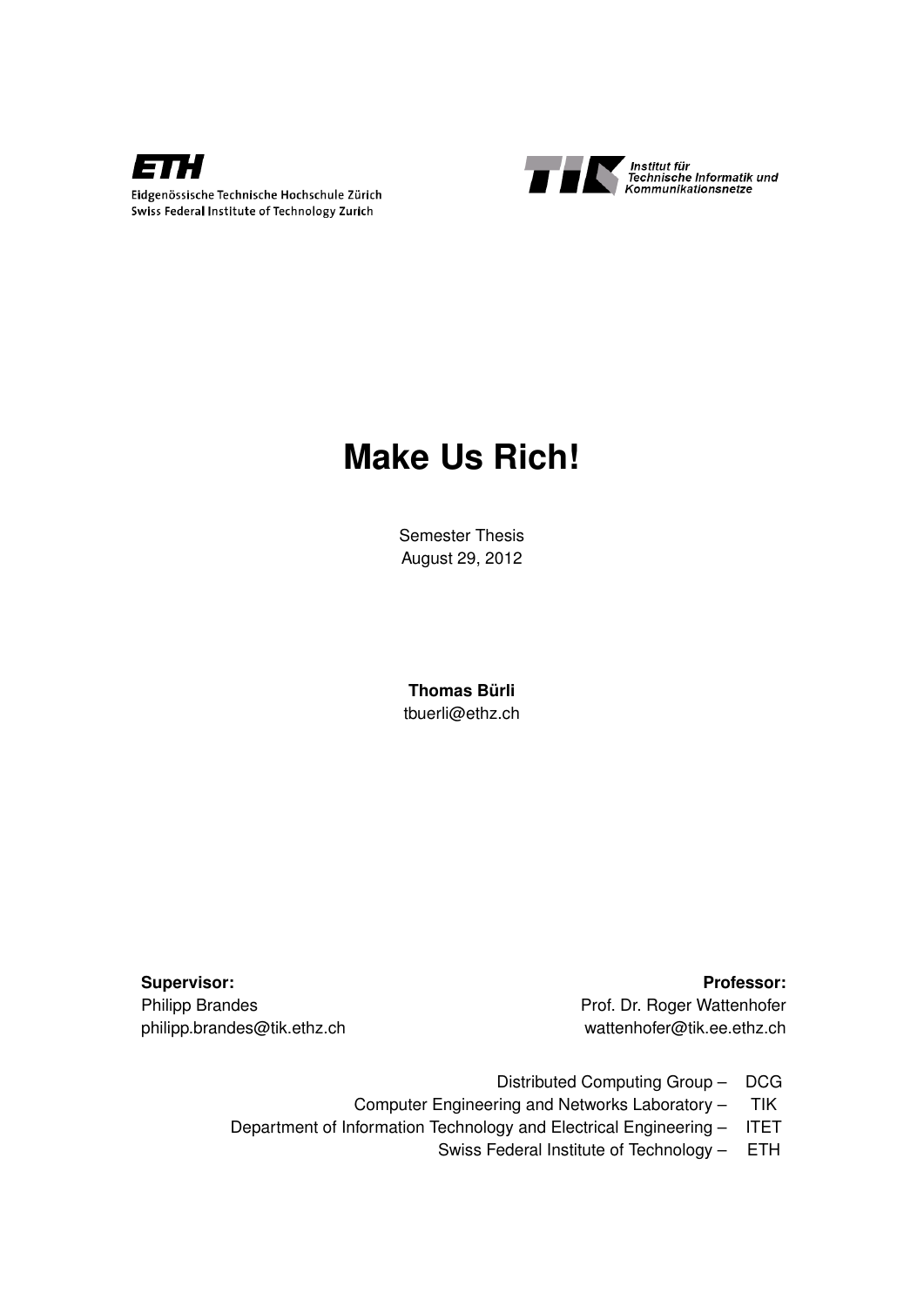



# **Make Us Rich!**

Semester Thesis August 29, 2012

**Thomas Bürli** tbuerli@ethz.ch

Supervisor: **Professor:** Professor: Philipp Brandes **Prof. Dr. Roger Wattenhofer** philipp.brandes@tik.ethz.ch wattenhofer@tik.ee.ethz.ch

- Distributed Computing Group DCG
- Computer Engineering and Networks Laboratory TIK
- Department of Information Technology and Electrical Engineering ITET
	- Swiss Federal Institute of Technology ETH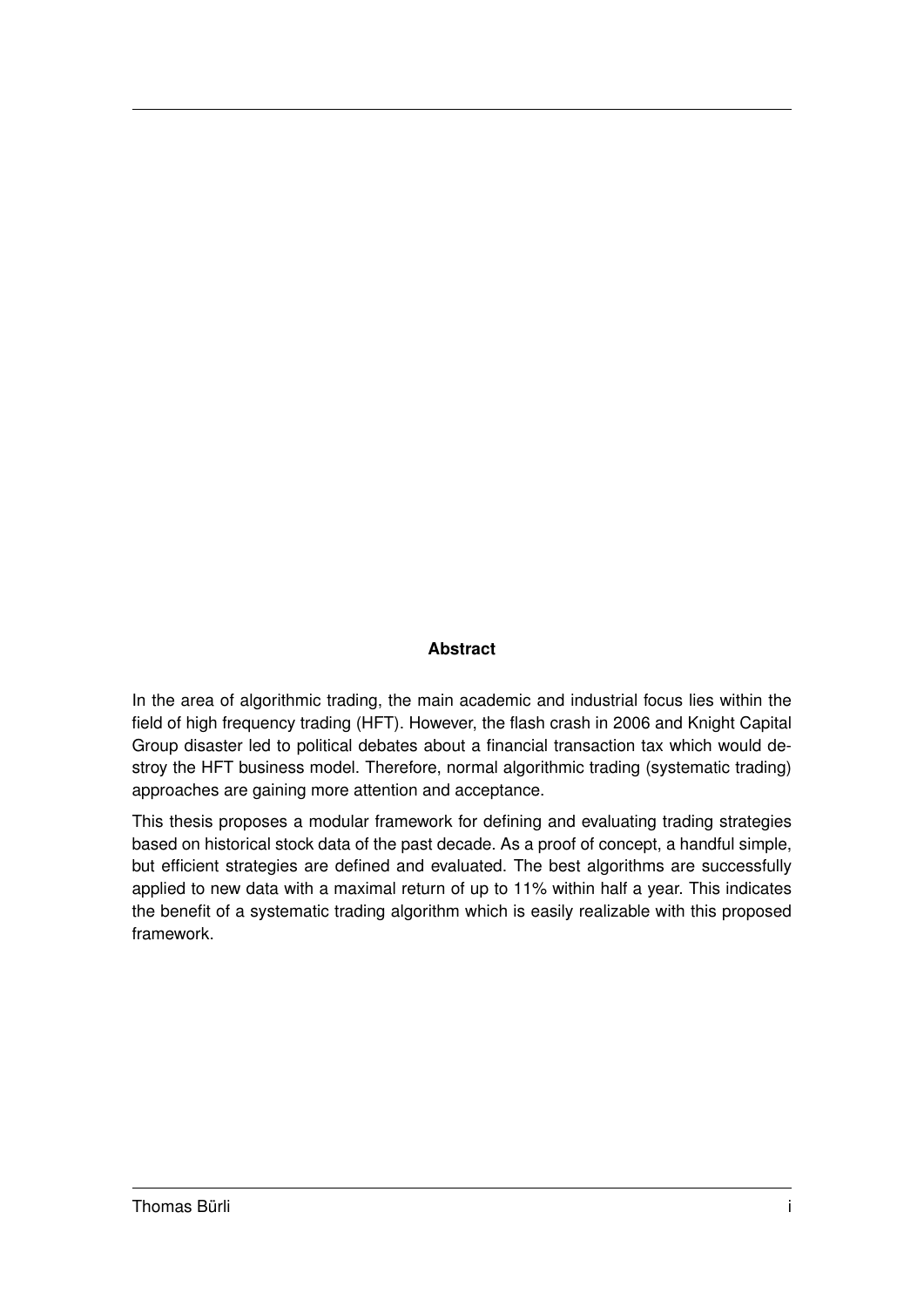#### **Abstract**

In the area of algorithmic trading, the main academic and industrial focus lies within the field of high frequency trading (HFT). However, the flash crash in 2006 and Knight Capital Group disaster led to political debates about a financial transaction tax which would destroy the HFT business model. Therefore, normal algorithmic trading (systematic trading) approaches are gaining more attention and acceptance.

This thesis proposes a modular framework for defining and evaluating trading strategies based on historical stock data of the past decade. As a proof of concept, a handful simple, but efficient strategies are defined and evaluated. The best algorithms are successfully applied to new data with a maximal return of up to 11% within half a year. This indicates the benefit of a systematic trading algorithm which is easily realizable with this proposed framework.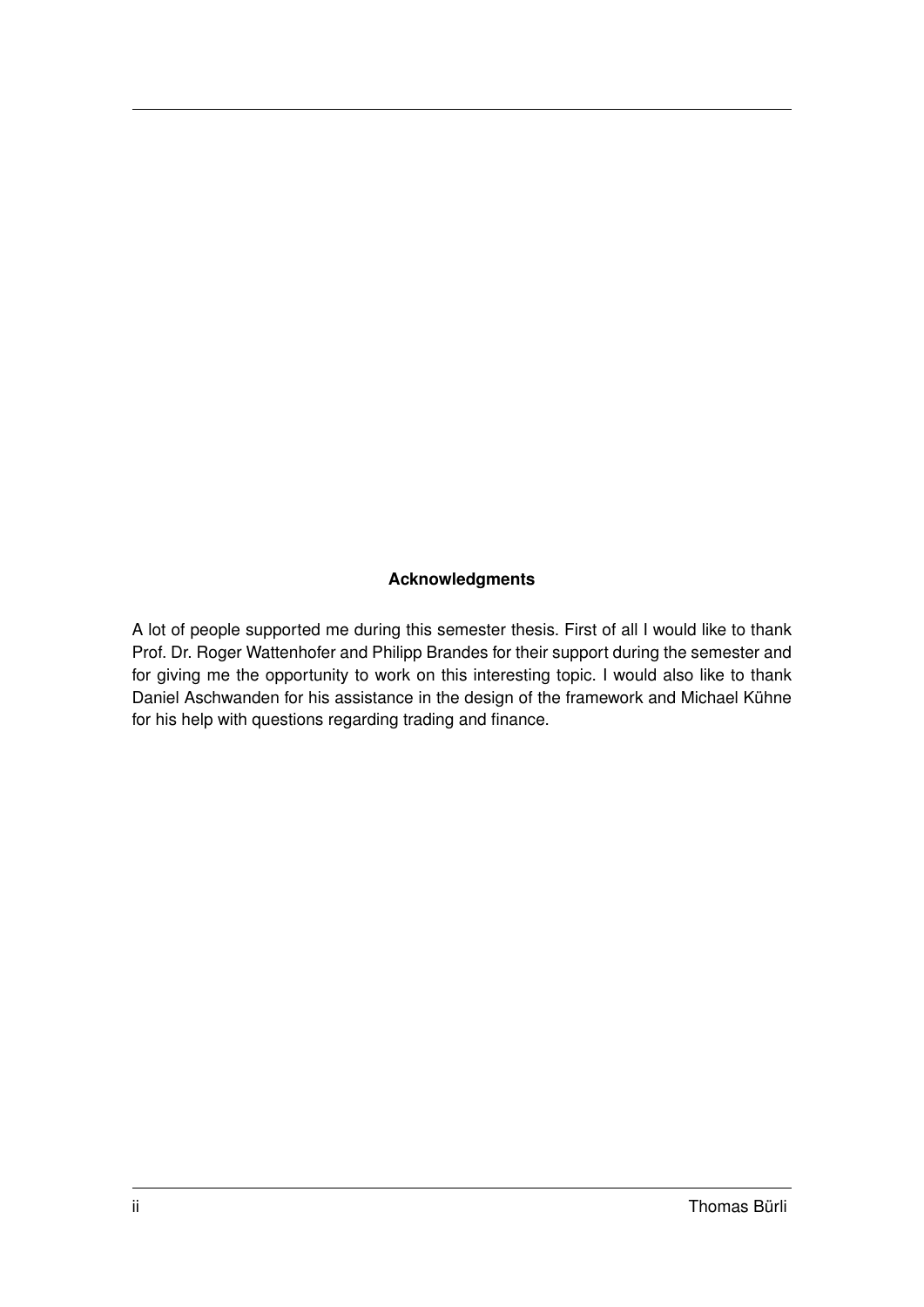#### **Acknowledgments**

A lot of people supported me during this semester thesis. First of all I would like to thank Prof. Dr. Roger Wattenhofer and Philipp Brandes for their support during the semester and for giving me the opportunity to work on this interesting topic. I would also like to thank Daniel Aschwanden for his assistance in the design of the framework and Michael Kühne for his help with questions regarding trading and finance.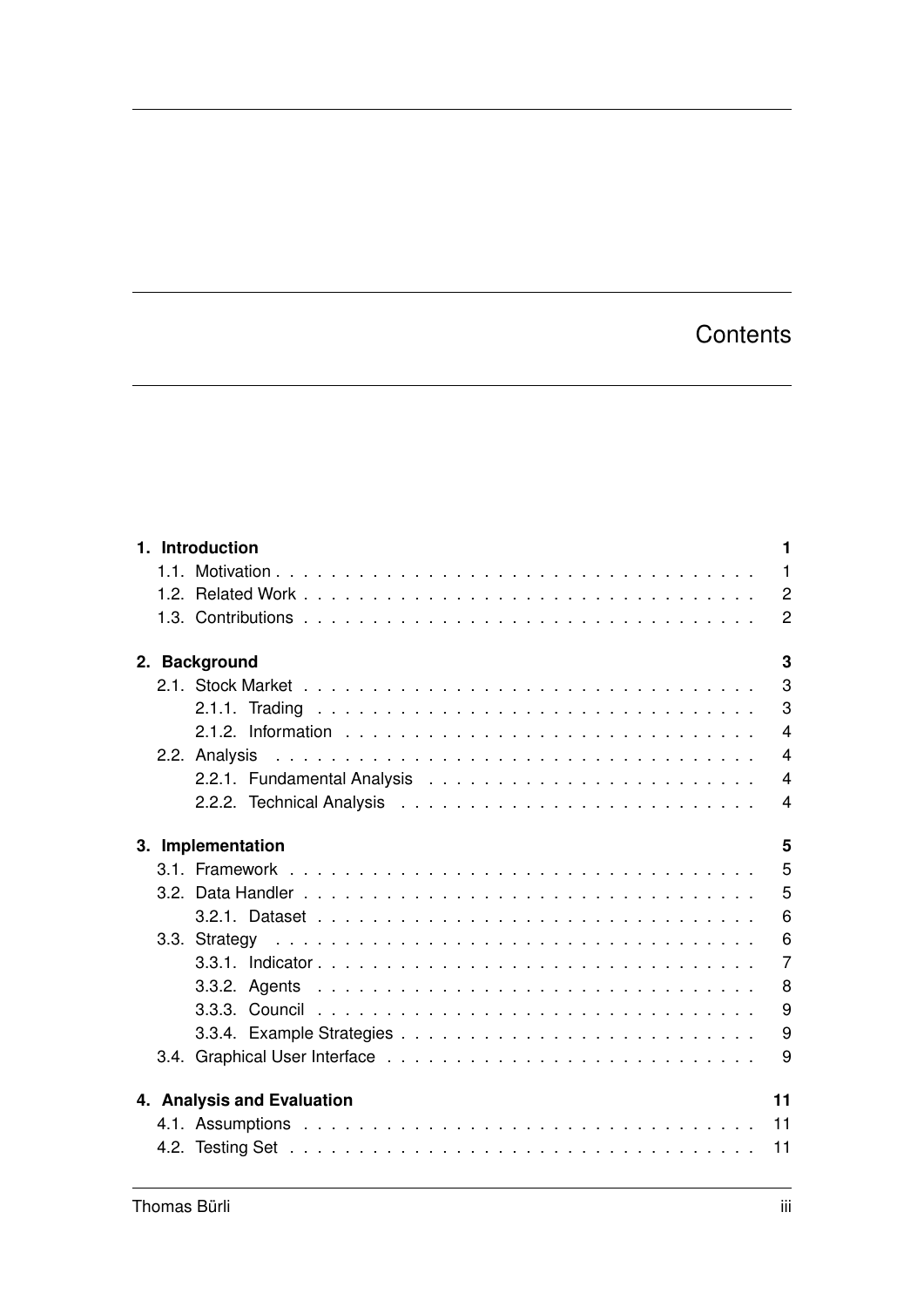## **Contents**

|  | 1. Introduction            | 1              |
|--|----------------------------|----------------|
|  |                            |                |
|  |                            | $\overline{2}$ |
|  |                            | $\overline{2}$ |
|  | 2. Background              | 3              |
|  |                            | 3              |
|  |                            | 3              |
|  |                            | $\overline{4}$ |
|  |                            | $\overline{4}$ |
|  |                            | $\overline{4}$ |
|  |                            | $\overline{4}$ |
|  | 3. Implementation          | 5              |
|  |                            | 5              |
|  |                            | 5              |
|  |                            | 6              |
|  |                            | 6              |
|  |                            | $\overline{7}$ |
|  |                            | 8              |
|  |                            | 9              |
|  |                            | 9              |
|  |                            | 9              |
|  | 4. Analysis and Evaluation | 11             |
|  |                            |                |
|  |                            |                |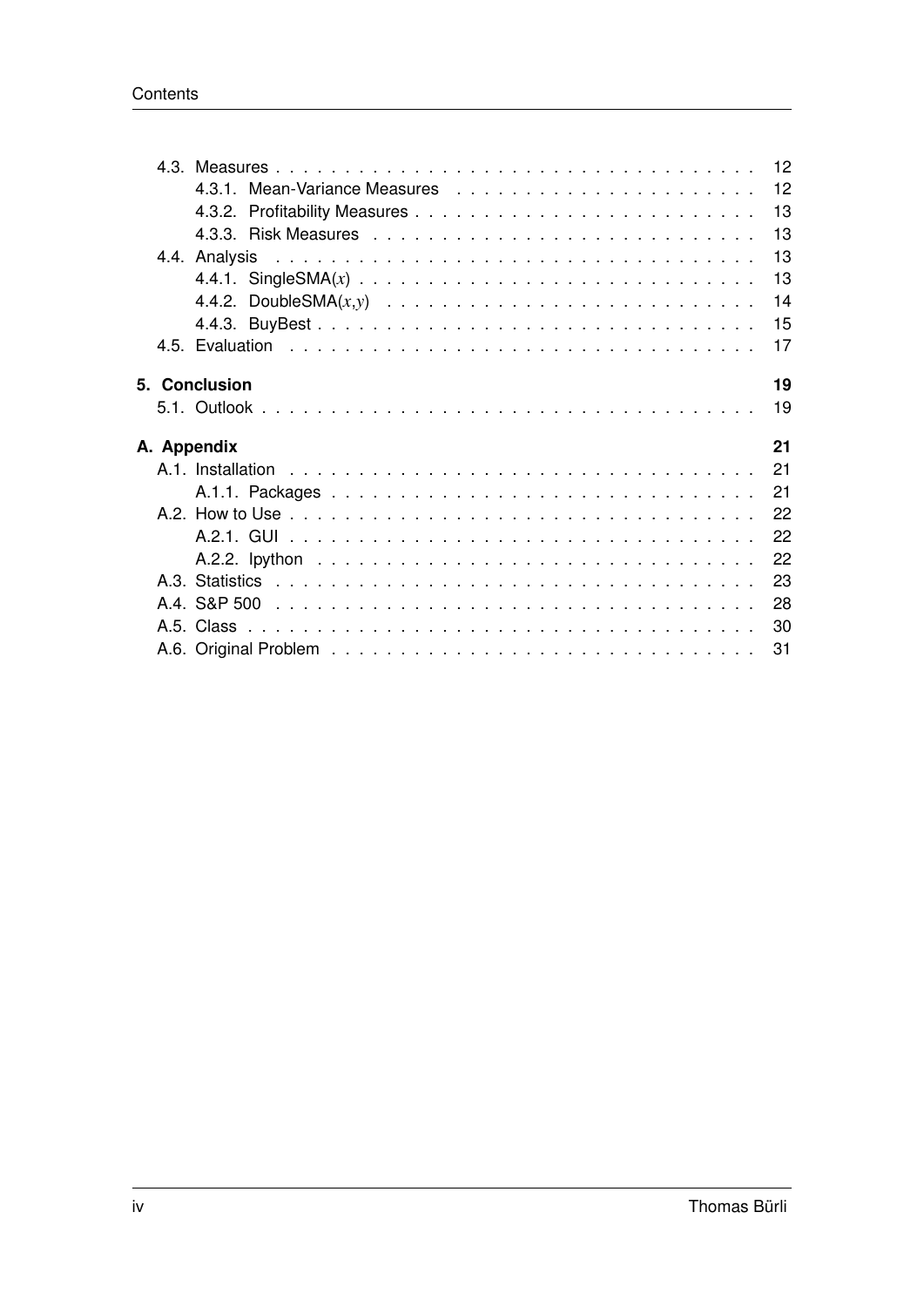|  | 13                  |
|--|---------------------|
|  | 13                  |
|  | 13                  |
|  |                     |
|  | 13                  |
|  | 14                  |
|  | 15                  |
|  | 17                  |
|  |                     |
|  | 19<br>5. Conclusion |
|  | 19                  |
|  | 21<br>A. Appendix   |
|  | 21                  |
|  |                     |
|  | 21                  |
|  | 22                  |
|  | 22                  |
|  | 22                  |
|  | 23                  |
|  | 28                  |
|  | 30                  |
|  |                     |
|  | 31                  |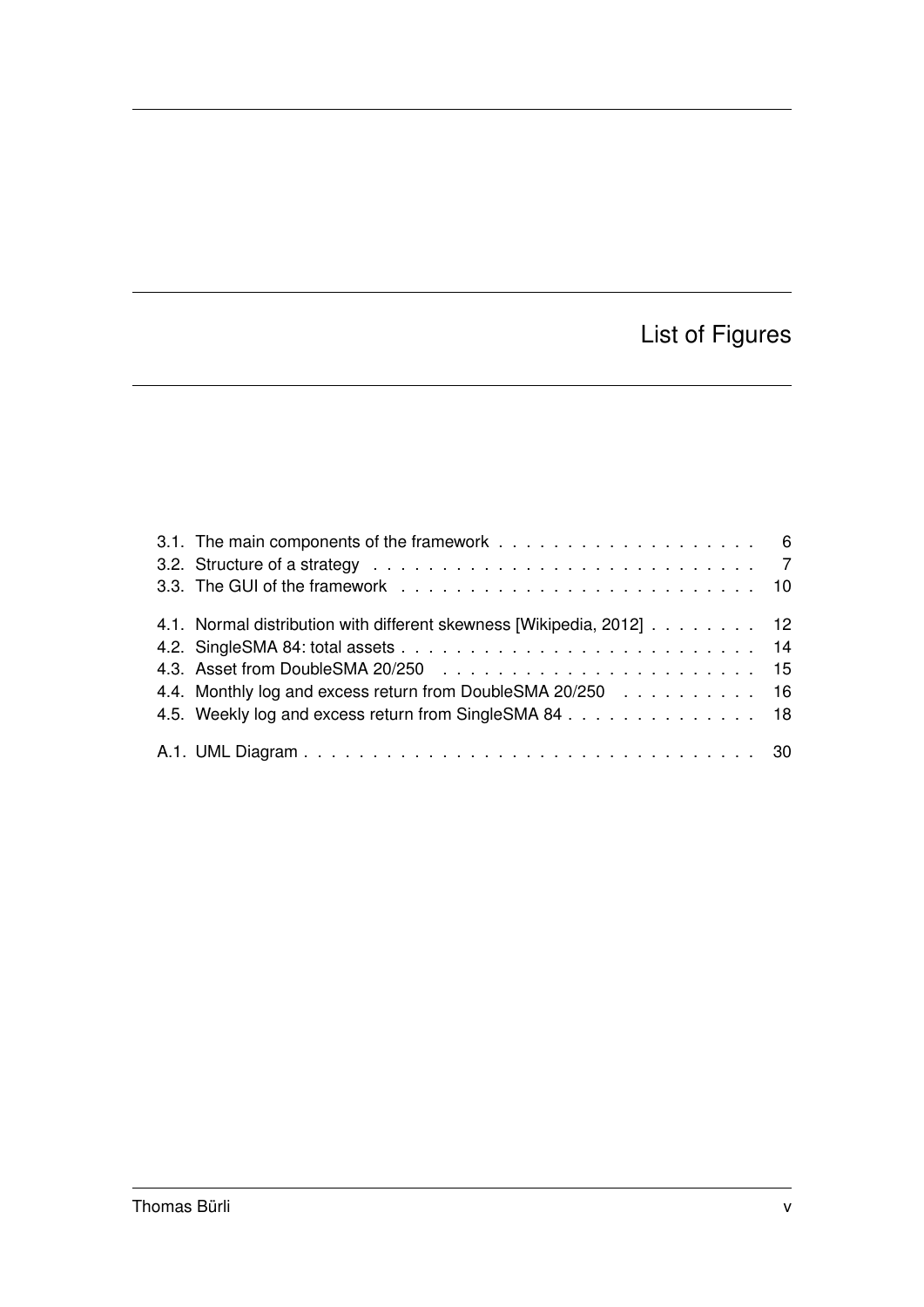## List of Figures

| 4.1. Normal distribution with different skewness [Wikipedia, 2012] 12<br>4.4. Monthly log and excess return from DoubleSMA 20/250 16<br>4.5. Weekly log and excess return from SingleSMA 84 18 |  |  |  |
|------------------------------------------------------------------------------------------------------------------------------------------------------------------------------------------------|--|--|--|
|                                                                                                                                                                                                |  |  |  |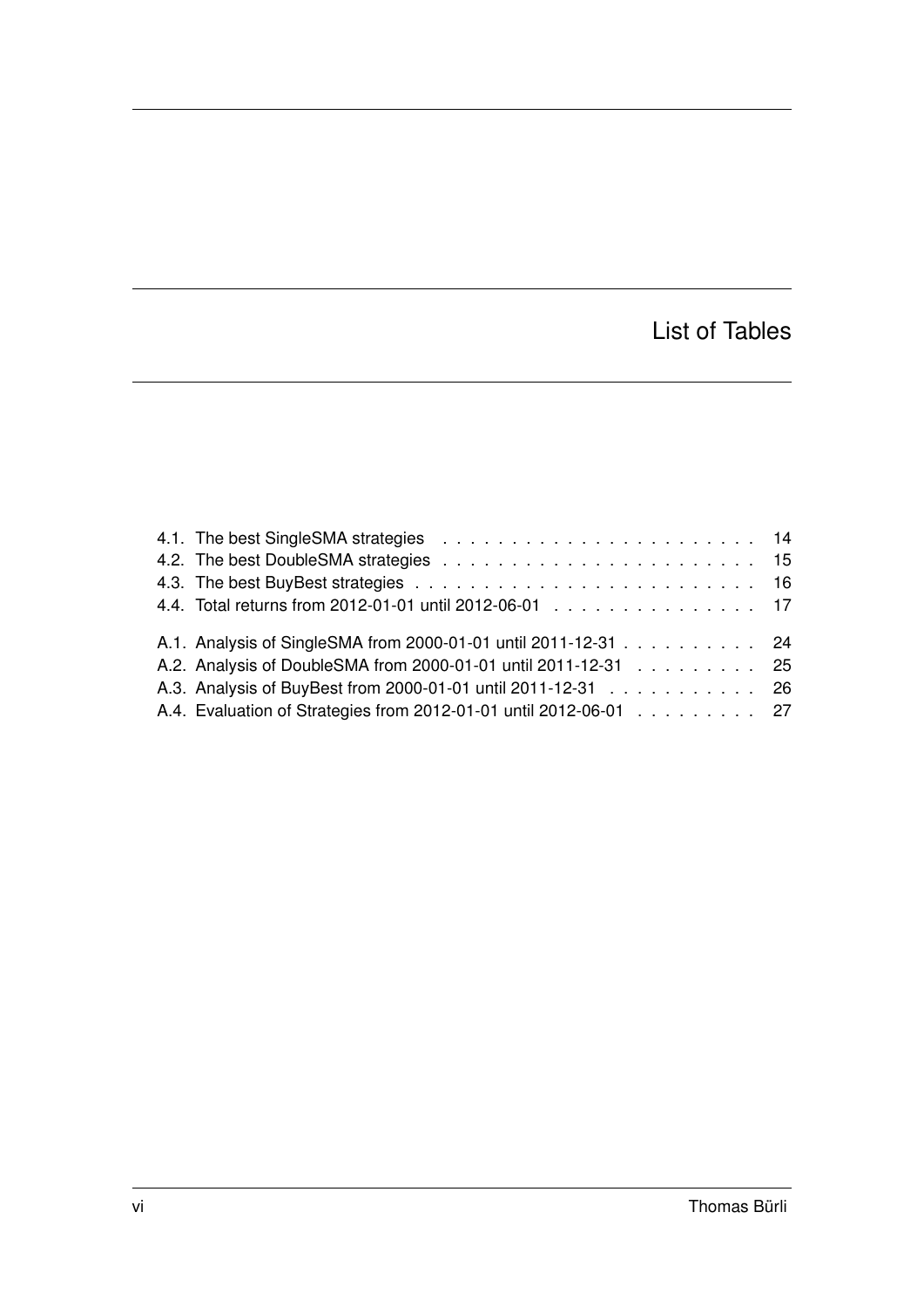## List of Tables

| 4.4. Total returns from 2012-01-01 until 2012-06-01 17            |  |
|-------------------------------------------------------------------|--|
| A.1. Analysis of SingleSMA from 2000-01-01 until 2011-12-31 24    |  |
| A.2. Analysis of DoubleSMA from 2000-01-01 until 2011-12-31 25    |  |
| A.3. Analysis of BuyBest from 2000-01-01 until 2011-12-31 26      |  |
| A.4. Evaluation of Strategies from 2012-01-01 until 2012-06-01 27 |  |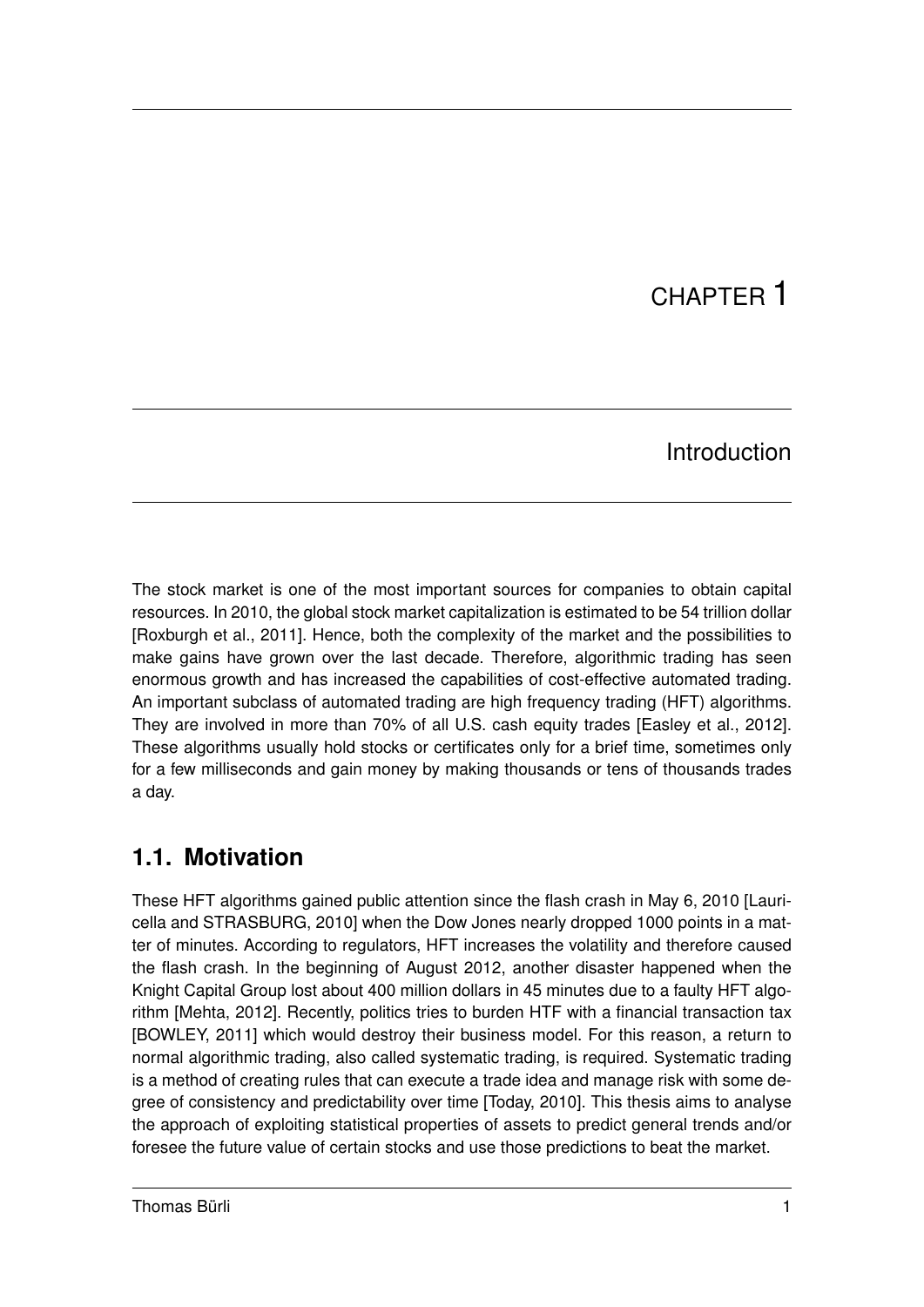# CHAPTER 1

### Introduction

The stock market is one of the most important sources for companies to obtain capital resources. In 2010, the global stock market capitalization is estimated to be 54 trillion dollar [Roxburgh et al., 2011]. Hence, both the complexity of the market and the possibilities to make gains have grown over the last decade. Therefore, algorithmic trading has seen enormous growth and has increased the capabilities of cost-effective automated trading. An important subclass of automated trading are high frequency trading (HFT) algorithms. They are involved in more than 70% of all U.S. cash equity trades [Easley et al., 2012]. These algorithms usually hold stocks or certificates only for a brief time, sometimes only for a few milliseconds and gain money by making thousands or tens of thousands trades a day.

### **1.1. Motivation**

These HFT algorithms gained public attention since the flash crash in May 6, 2010 [Lauricella and STRASBURG, 2010] when the Dow Jones nearly dropped 1000 points in a matter of minutes. According to regulators, HFT increases the volatility and therefore caused the flash crash. In the beginning of August 2012, another disaster happened when the Knight Capital Group lost about 400 million dollars in 45 minutes due to a faulty HFT algorithm [Mehta, 2012]. Recently, politics tries to burden HTF with a financial transaction tax [BOWLEY, 2011] which would destroy their business model. For this reason, a return to normal algorithmic trading, also called systematic trading, is required. Systematic trading is a method of creating rules that can execute a trade idea and manage risk with some degree of consistency and predictability over time [Today, 2010]. This thesis aims to analyse the approach of exploiting statistical properties of assets to predict general trends and/or foresee the future value of certain stocks and use those predictions to beat the market.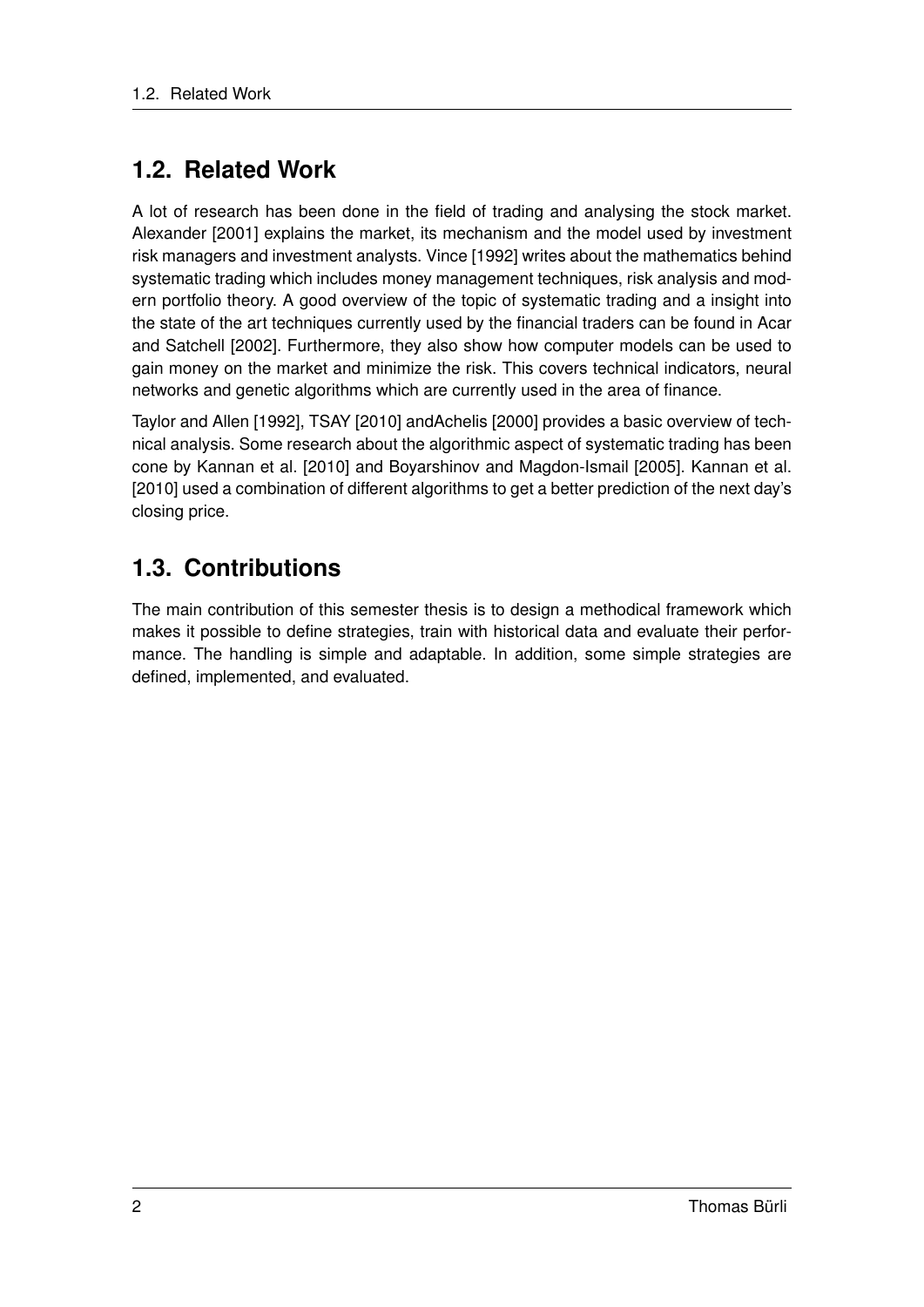### **1.2. Related Work**

A lot of research has been done in the field of trading and analysing the stock market. Alexander [2001] explains the market, its mechanism and the model used by investment risk managers and investment analysts. Vince [1992] writes about the mathematics behind systematic trading which includes money management techniques, risk analysis and modern portfolio theory. A good overview of the topic of systematic trading and a insight into the state of the art techniques currently used by the financial traders can be found in Acar and Satchell [2002]. Furthermore, they also show how computer models can be used to gain money on the market and minimize the risk. This covers technical indicators, neural networks and genetic algorithms which are currently used in the area of finance.

Taylor and Allen [1992], TSAY [2010] andAchelis [2000] provides a basic overview of technical analysis. Some research about the algorithmic aspect of systematic trading has been cone by Kannan et al. [2010] and Boyarshinov and Magdon-Ismail [2005]. Kannan et al. [2010] used a combination of different algorithms to get a better prediction of the next day's closing price.

## **1.3. Contributions**

The main contribution of this semester thesis is to design a methodical framework which makes it possible to define strategies, train with historical data and evaluate their performance. The handling is simple and adaptable. In addition, some simple strategies are defined, implemented, and evaluated.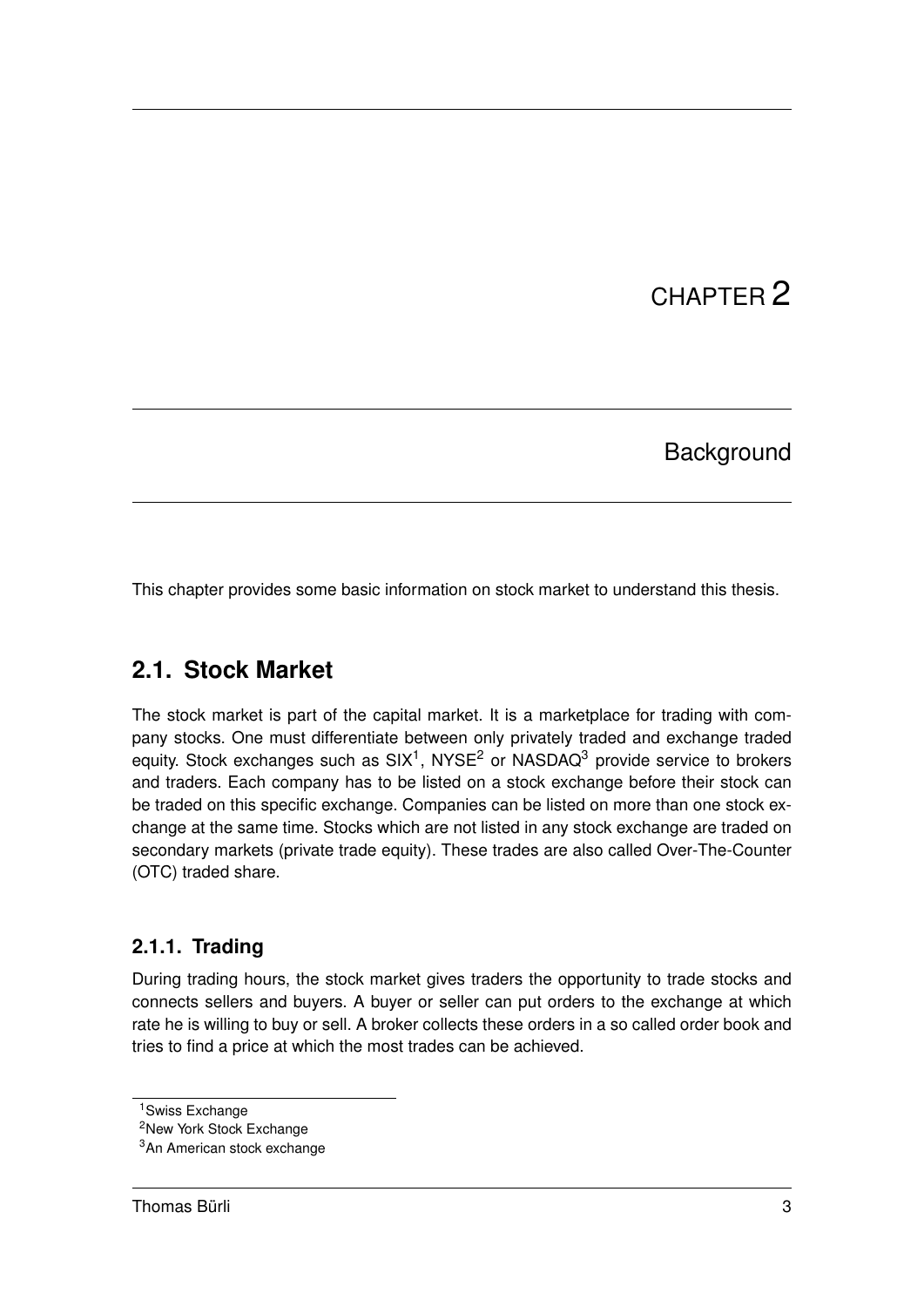# CHAPTER 2

### **Background**

This chapter provides some basic information on stock market to understand this thesis.

### **2.1. Stock Market**

The stock market is part of the capital market. It is a marketplace for trading with company stocks. One must differentiate between only privately traded and exchange traded equity. Stock exchanges such as SIX<sup>1</sup>, NYSE<sup>2</sup> or NASDAQ<sup>3</sup> provide service to brokers and traders. Each company has to be listed on a stock exchange before their stock can be traded on this specific exchange. Companies can be listed on more than one stock exchange at the same time. Stocks which are not listed in any stock exchange are traded on secondary markets (private trade equity). These trades are also called Over-The-Counter (OTC) traded share.

#### **2.1.1. Trading**

During trading hours, the stock market gives traders the opportunity to trade stocks and connects sellers and buyers. A buyer or seller can put orders to the exchange at which rate he is willing to buy or sell. A broker collects these orders in a so called order book and tries to find a price at which the most trades can be achieved.

<sup>&</sup>lt;sup>1</sup>Swiss Exchange

<sup>&</sup>lt;sup>2</sup>New York Stock Exchange

<sup>3</sup>An American stock exchange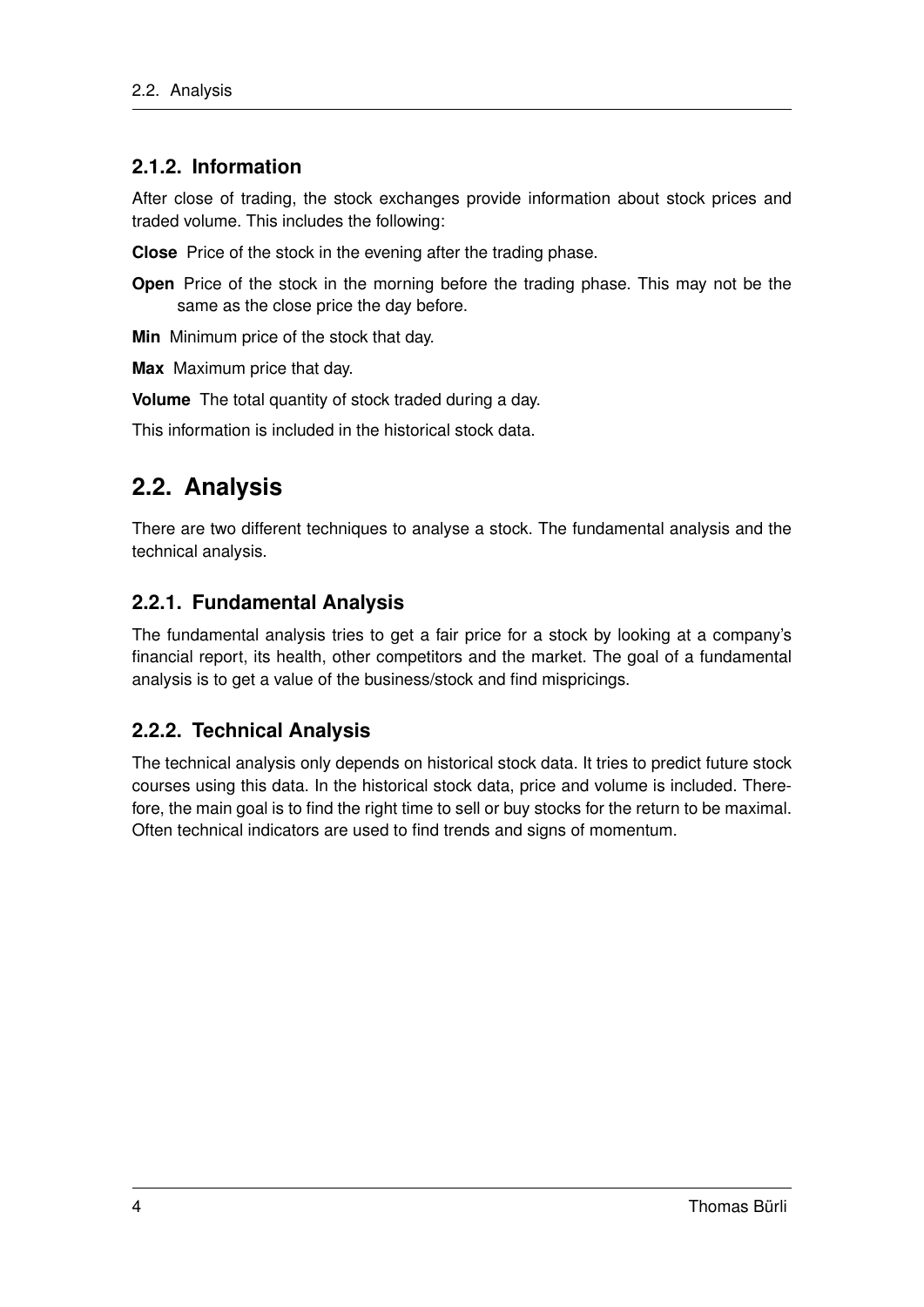#### **2.1.2. Information**

After close of trading, the stock exchanges provide information about stock prices and traded volume. This includes the following:

**Close** Price of the stock in the evening after the trading phase.

**Open** Price of the stock in the morning before the trading phase. This may not be the same as the close price the day before.

**Min** Minimum price of the stock that day.

**Max** Maximum price that day.

**Volume** The total quantity of stock traded during a day.

This information is included in the historical stock data.

### **2.2. Analysis**

There are two different techniques to analyse a stock. The fundamental analysis and the technical analysis.

#### **2.2.1. Fundamental Analysis**

The fundamental analysis tries to get a fair price for a stock by looking at a company's financial report, its health, other competitors and the market. The goal of a fundamental analysis is to get a value of the business/stock and find mispricings.

#### **2.2.2. Technical Analysis**

The technical analysis only depends on historical stock data. It tries to predict future stock courses using this data. In the historical stock data, price and volume is included. Therefore, the main goal is to find the right time to sell or buy stocks for the return to be maximal. Often technical indicators are used to find trends and signs of momentum.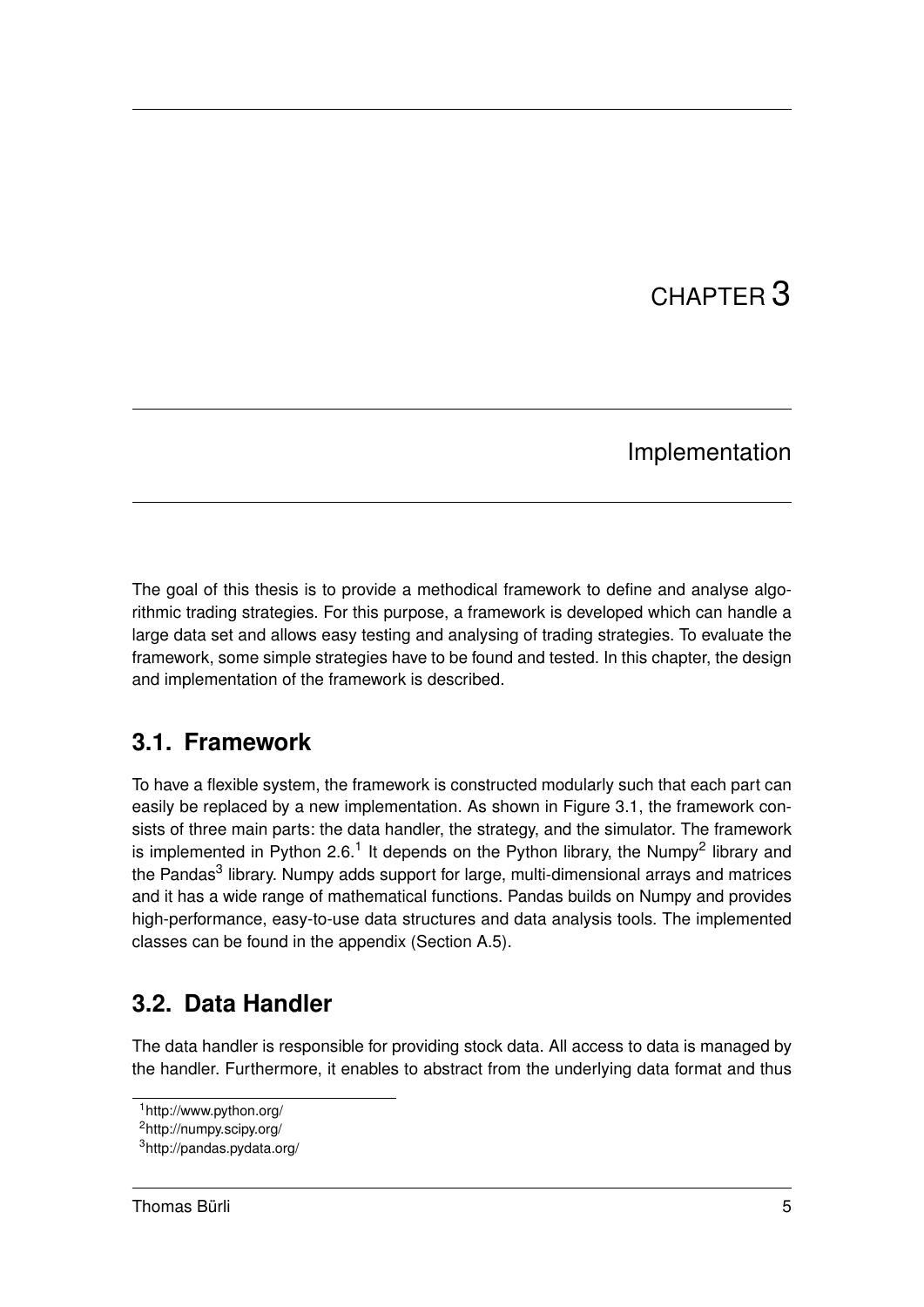# CHAPTER 3

### Implementation

The goal of this thesis is to provide a methodical framework to define and analyse algorithmic trading strategies. For this purpose, a framework is developed which can handle a large data set and allows easy testing and analysing of trading strategies. To evaluate the framework, some simple strategies have to be found and tested. In this chapter, the design and implementation of the framework is described.

### **3.1. Framework**

To have a flexible system, the framework is constructed modularly such that each part can easily be replaced by a new implementation. As shown in Figure 3.1, the framework consists of three main parts: the data handler, the strategy, and the simulator. The framework is implemented in Python 2.6.<sup>1</sup> It depends on the Python library, the Numpy<sup>2</sup> library and the Pandas<sup>3</sup> library. Numpy adds support for large, multi-dimensional arrays and matrices and it has a wide range of mathematical functions. Pandas builds on Numpy and provides high-performance, easy-to-use data structures and data analysis tools. The implemented classes can be found in the appendix (Section A.5).

## **3.2. Data Handler**

The data handler is responsible for providing stock data. All access to data is managed by the handler. Furthermore, it enables to abstract from the underlying data format and thus

<sup>1</sup>http://www.python.org/

<sup>2</sup>http://numpy.scipy.org/

<sup>3</sup>http://pandas.pydata.org/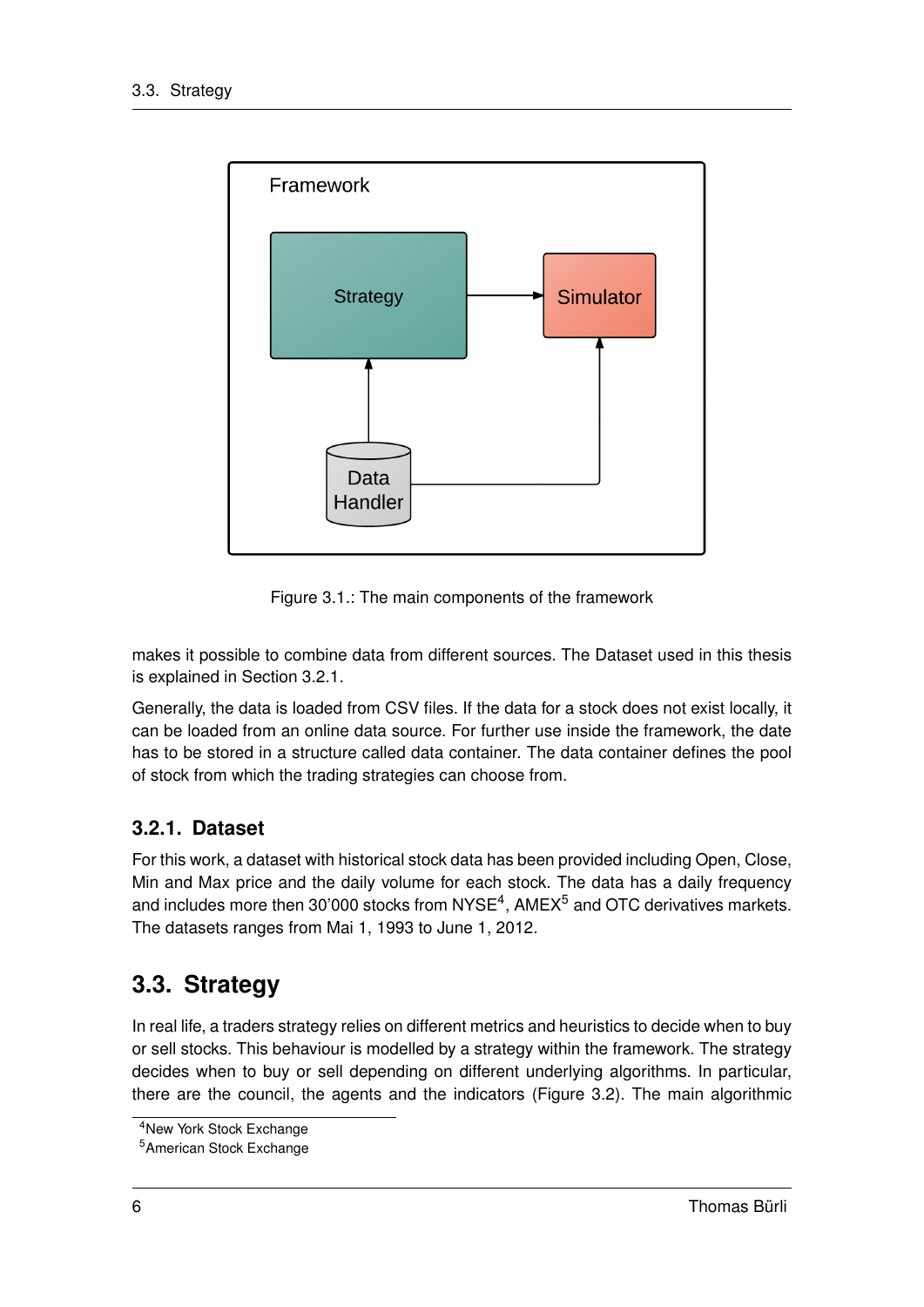

Figure 3.1.: The main components of the framework

makes it possible to combine data from different sources. The Dataset used in this thesis is explained in Section 3.2.1.

Generally, the data is loaded from CSV files. If the data for a stock does not exist locally, it can be loaded from an online data source. For further use inside the framework, the date has to be stored in a structure called data container. The data container defines the pool of stock from which the trading strategies can choose from.

#### **3.2.1. Dataset**

For this work, a dataset with historical stock data has been provided including Open, Close, Min and Max price and the daily volume for each stock. The data has a daily frequency and includes more then 30'000 stocks from NYSE<sup>4</sup>, AMEX<sup>5</sup> and OTC derivatives markets. The datasets ranges from Mai 1, 1993 to June 1, 2012.

## **3.3. Strategy**

In real life, a traders strategy relies on different metrics and heuristics to decide when to buy or sell stocks. This behaviour is modelled by a strategy within the framework. The strategy decides when to buy or sell depending on different underlying algorithms. In particular, there are the council, the agents and the indicators (Figure 3.2). The main algorithmic

<sup>4</sup>New York Stock Exchange

<sup>5</sup>American Stock Exchange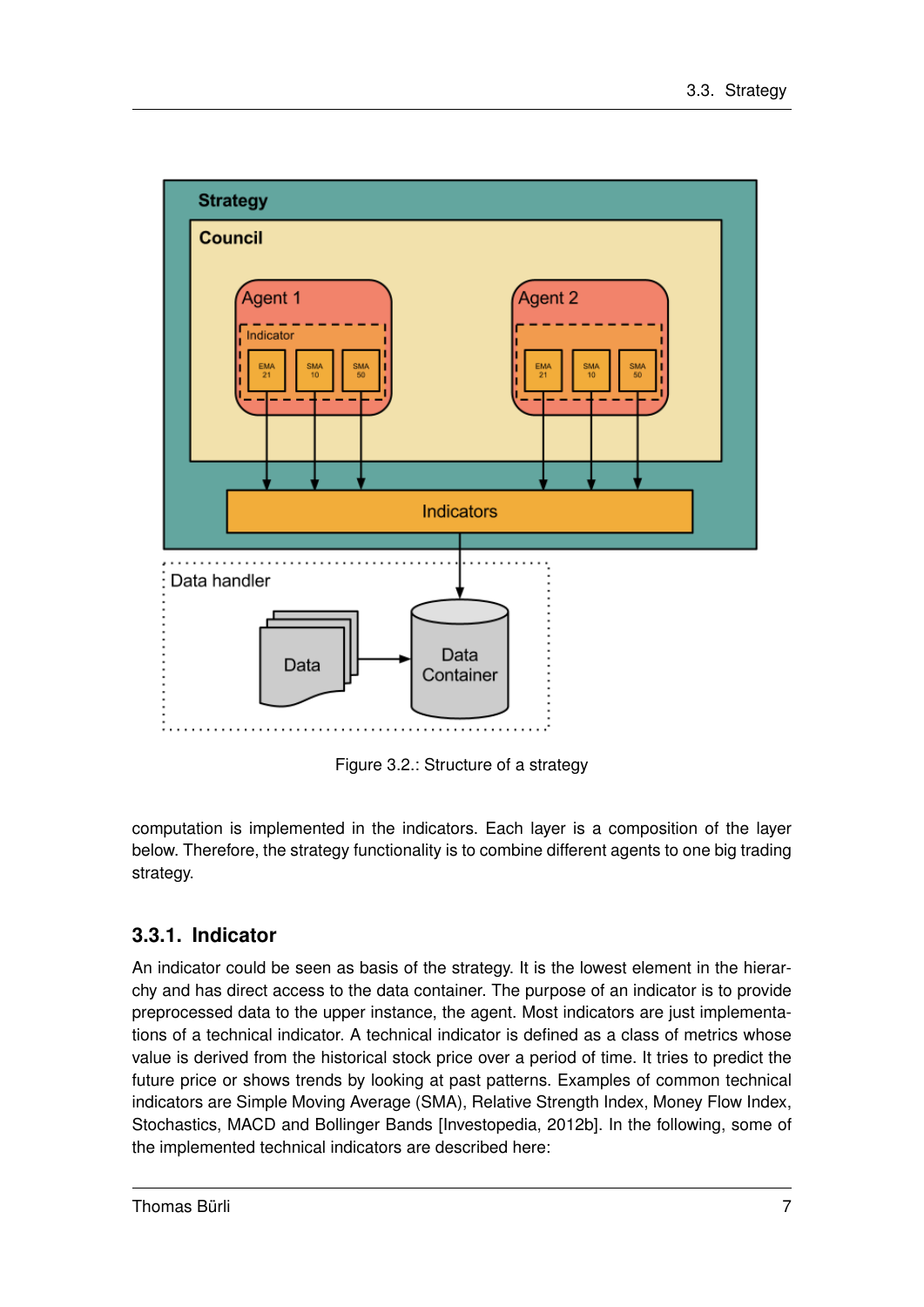

Figure 3.2.: Structure of a strategy

computation is implemented in the indicators. Each layer is a composition of the layer below. Therefore, the strategy functionality is to combine different agents to one big trading strategy.

### **3.3.1. Indicator**

An indicator could be seen as basis of the strategy. It is the lowest element in the hierarchy and has direct access to the data container. The purpose of an indicator is to provide preprocessed data to the upper instance, the agent. Most indicators are just implementations of a technical indicator. A technical indicator is defined as a class of metrics whose value is derived from the historical stock price over a period of time. It tries to predict the future price or shows trends by looking at past patterns. Examples of common technical indicators are Simple Moving Average (SMA), Relative Strength Index, Money Flow Index, Stochastics, MACD and Bollinger Bands [Investopedia, 2012b]. In the following, some of the implemented technical indicators are described here: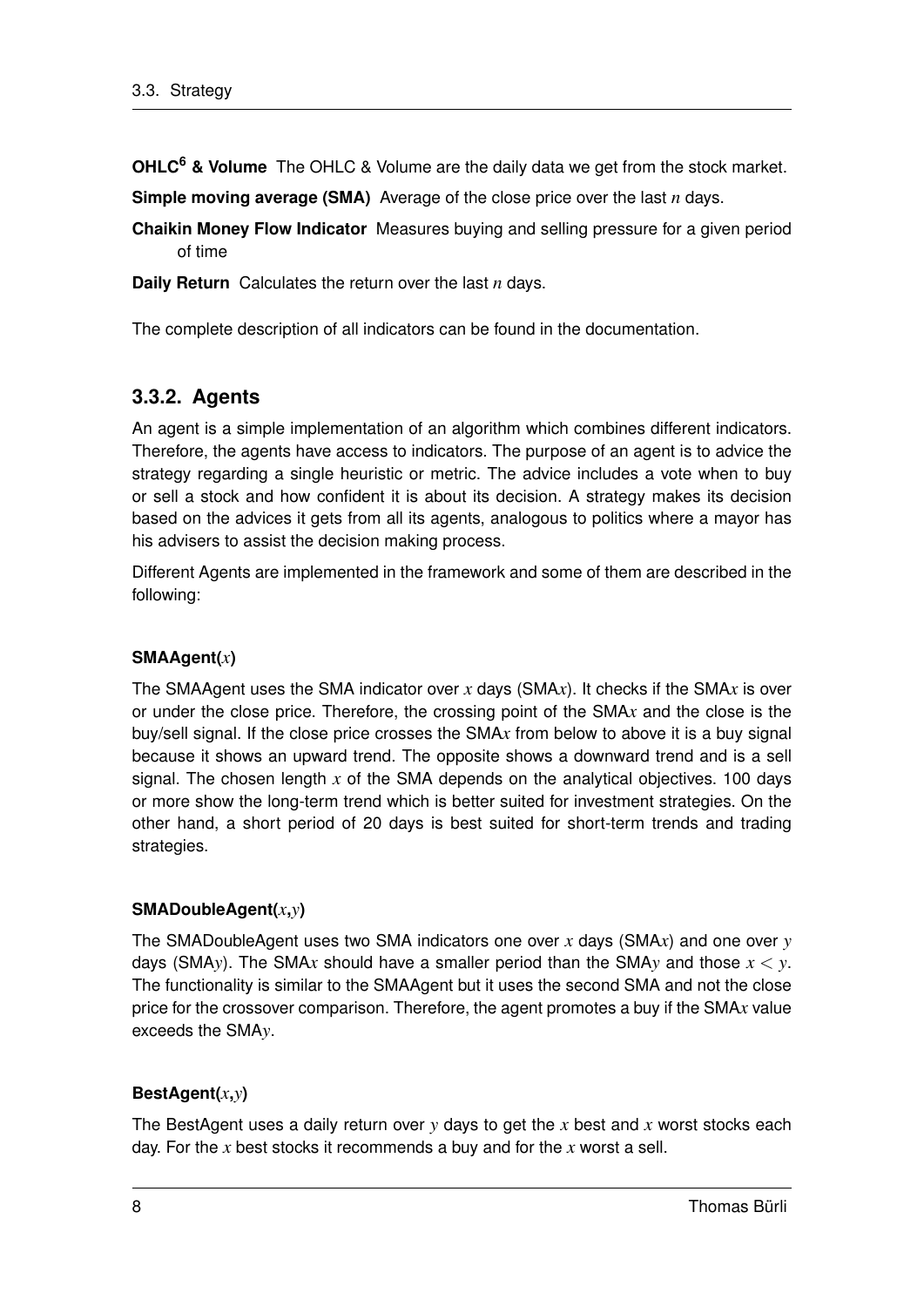**OHLC<sup>6</sup> & Volume** The OHLC & Volume are the daily data we get from the stock market.

**Simple moving average (SMA)** Average of the close price over the last *n* days.

**Chaikin Money Flow Indicator** Measures buying and selling pressure for a given period of time

**Daily Return** Calculates the return over the last *n* days.

The complete description of all indicators can be found in the documentation.

#### **3.3.2. Agents**

An agent is a simple implementation of an algorithm which combines different indicators. Therefore, the agents have access to indicators. The purpose of an agent is to advice the strategy regarding a single heuristic or metric. The advice includes a vote when to buy or sell a stock and how confident it is about its decision. A strategy makes its decision based on the advices it gets from all its agents, analogous to politics where a mayor has his advisers to assist the decision making process.

Different Agents are implemented in the framework and some of them are described in the following:

#### **SMAAgent(***x***)**

The SMAAgent uses the SMA indicator over *x* days (SMA*x*). It checks if the SMA*x* is over or under the close price. Therefore, the crossing point of the SMA*x* and the close is the buy/sell signal. If the close price crosses the SMA*x* from below to above it is a buy signal because it shows an upward trend. The opposite shows a downward trend and is a sell signal. The chosen length *x* of the SMA depends on the analytical objectives. 100 days or more show the long-term trend which is better suited for investment strategies. On the other hand, a short period of 20 days is best suited for short-term trends and trading strategies.

#### **SMADoubleAgent(***x***,***y***)**

The SMADoubleAgent uses two SMA indicators one over *x* days (SMA*x*) and one over *y* days (SMA*y*). The SMA*x* should have a smaller period than the SMA*y* and those *x* < *y*. The functionality is similar to the SMAAgent but it uses the second SMA and not the close price for the crossover comparison. Therefore, the agent promotes a buy if the SMA*x* value exceeds the SMA*y*.

#### **BestAgent(***x***,***y***)**

The BestAgent uses a daily return over *y* days to get the *x* best and *x* worst stocks each day. For the *x* best stocks it recommends a buy and for the *x* worst a sell.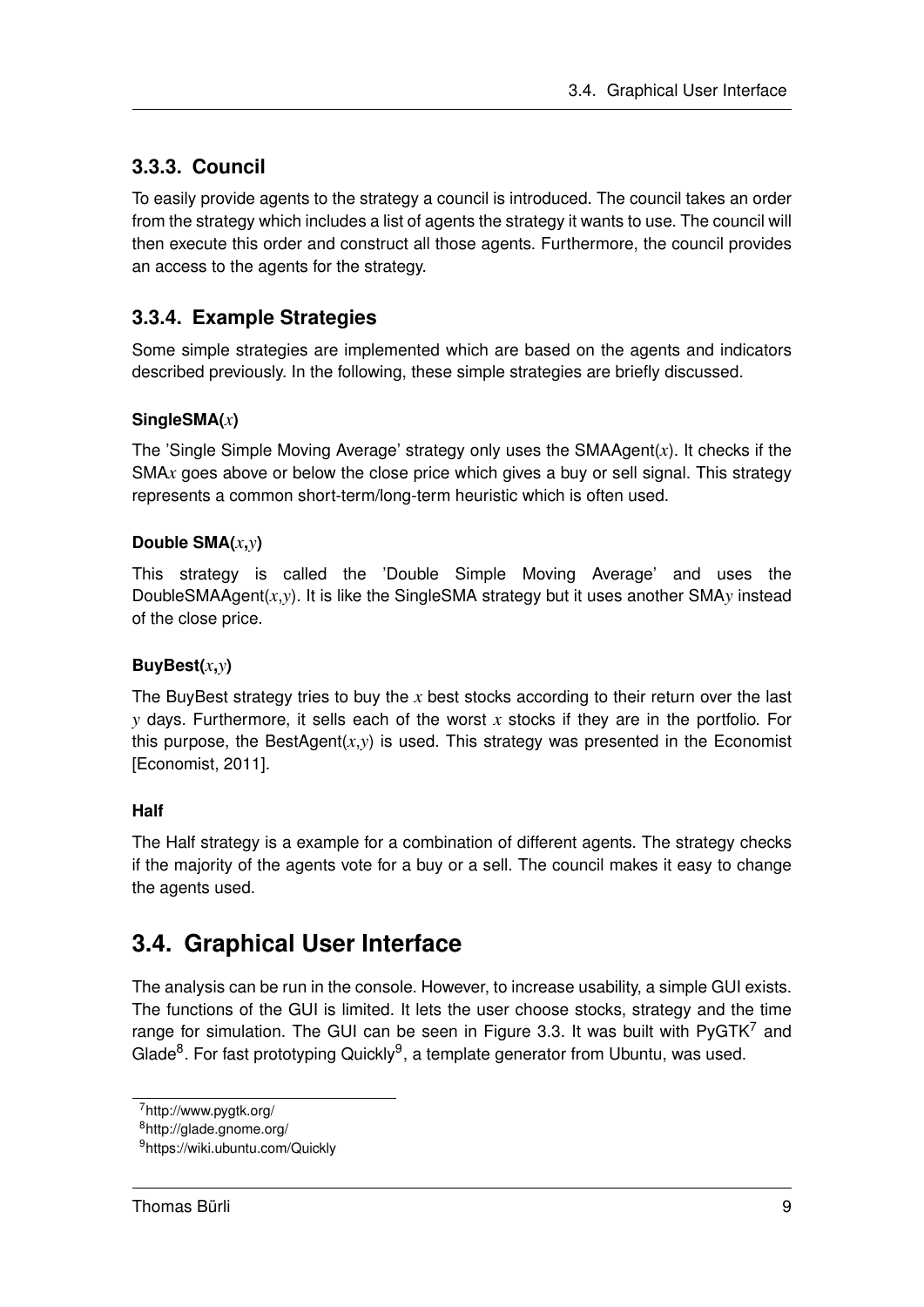### **3.3.3. Council**

To easily provide agents to the strategy a council is introduced. The council takes an order from the strategy which includes a list of agents the strategy it wants to use. The council will then execute this order and construct all those agents. Furthermore, the council provides an access to the agents for the strategy.

### **3.3.4. Example Strategies**

Some simple strategies are implemented which are based on the agents and indicators described previously. In the following, these simple strategies are briefly discussed.

#### **SingleSMA(***x***)**

The 'Single Simple Moving Average' strategy only uses the SMAAgent(*x*). It checks if the SMA*x* goes above or below the close price which gives a buy or sell signal. This strategy represents a common short-term/long-term heuristic which is often used.

#### **Double SMA(***x***,***y***)**

This strategy is called the 'Double Simple Moving Average' and uses the DoubleSMAAgent(*x*,*y*). It is like the SingleSMA strategy but it uses another SMA*y* instead of the close price.

#### **BuyBest(***x***,***y***)**

The BuyBest strategy tries to buy the *x* best stocks according to their return over the last *y* days. Furthermore, it sells each of the worst *x* stocks if they are in the portfolio. For this purpose, the BestAgent $(x,y)$  is used. This strategy was presented in the Economist [Economist, 2011].

#### **Half**

The Half strategy is a example for a combination of different agents. The strategy checks if the majority of the agents vote for a buy or a sell. The council makes it easy to change the agents used.

### **3.4. Graphical User Interface**

The analysis can be run in the console. However, to increase usability, a simple GUI exists. The functions of the GUI is limited. It lets the user choose stocks, strategy and the time range for simulation. The GUI can be seen in Figure 3.3. It was built with  $P\nu GTK^7$  and Glade<sup>8</sup>. For fast prototyping Quickly<sup>9</sup>, a template generator from Ubuntu, was used.

<sup>7</sup>http://www.pygtk.org/

<sup>8</sup>http://glade.gnome.org/

<sup>9</sup>https://wiki.ubuntu.com/Quickly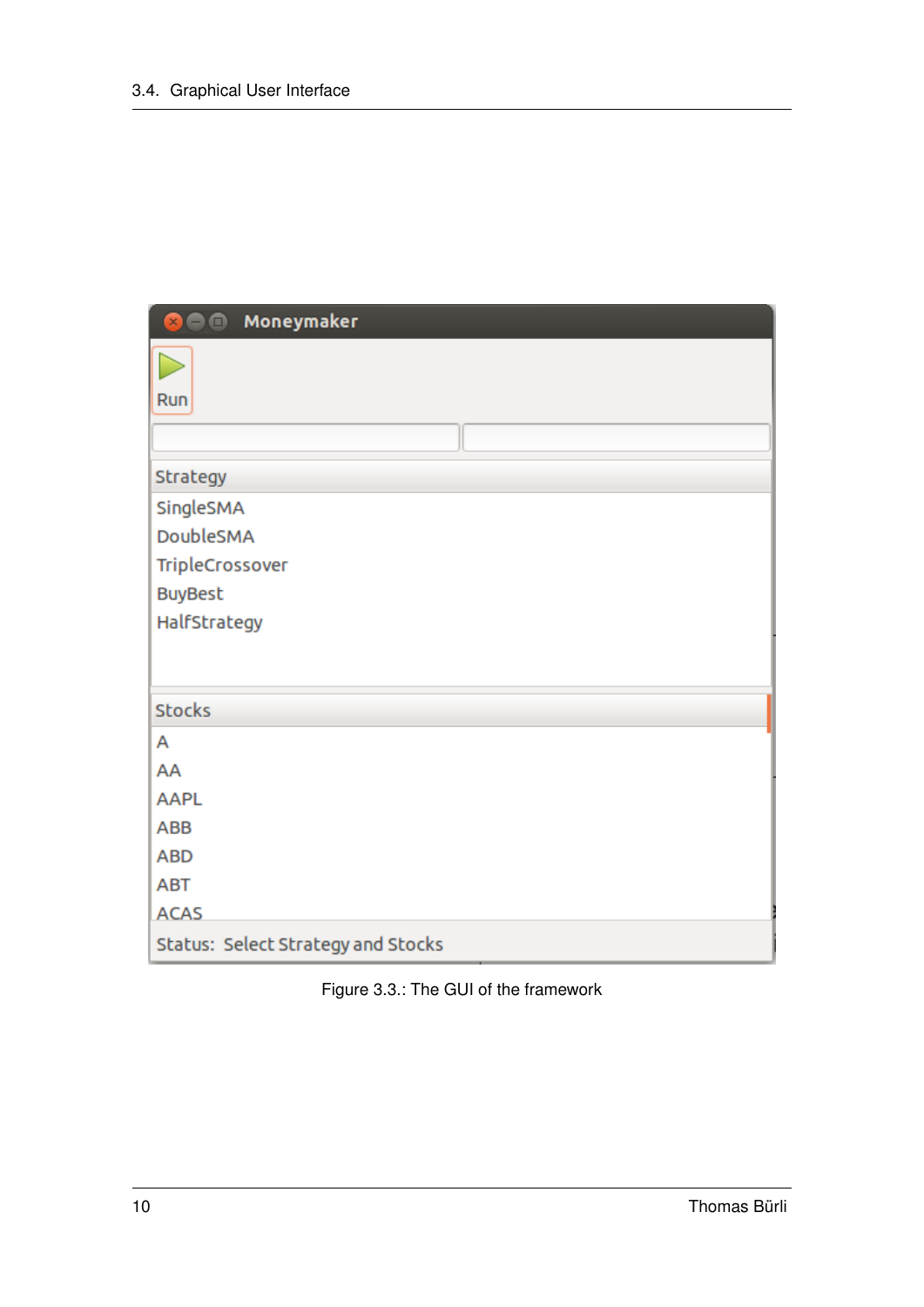| Moneymaker<br>$\bullet$<br>$\times$ |
|-------------------------------------|
|                                     |
| Run                                 |
|                                     |
| Strategy                            |
| SingleSMA                           |
| DoubleSMA                           |
| TripleCrossover                     |
| <b>BuyBest</b>                      |
| HalfStrategy                        |
|                                     |
| <b>Stocks</b>                       |
| A                                   |
| AA                                  |
| <b>AAPL</b>                         |
| ABB                                 |
| <b>ABD</b>                          |
| <b>ABT</b>                          |
| <b>ACAS</b>                         |
| Status: Select Strategy and Stocks  |

|  |  | Figure 3.3.: The GUI of the framework |
|--|--|---------------------------------------|
|  |  |                                       |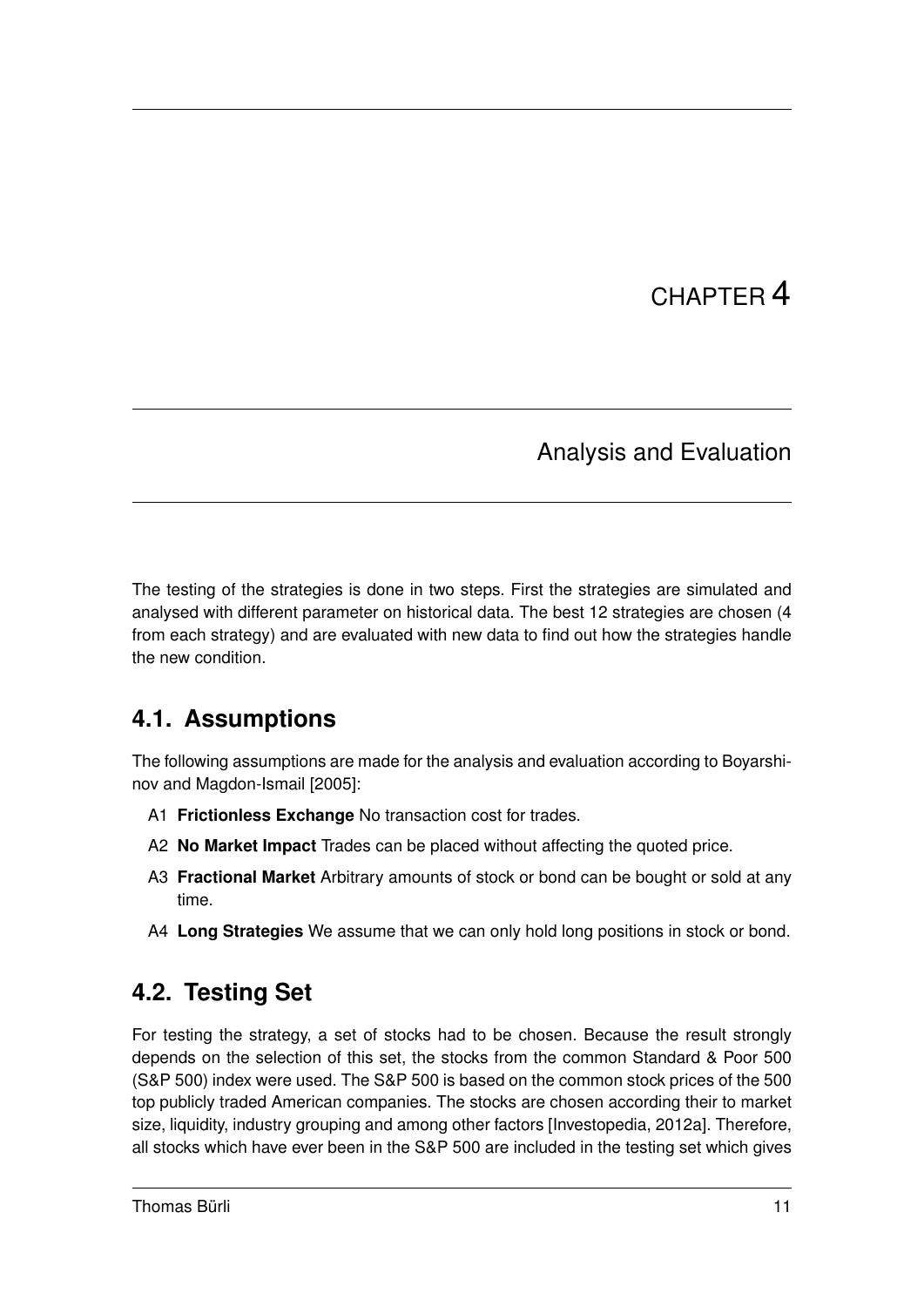# CHAPTER 4

### Analysis and Evaluation

The testing of the strategies is done in two steps. First the strategies are simulated and analysed with different parameter on historical data. The best 12 strategies are chosen (4 from each strategy) and are evaluated with new data to find out how the strategies handle the new condition.

## **4.1. Assumptions**

The following assumptions are made for the analysis and evaluation according to Boyarshinov and Magdon-Ismail [2005]:

- A1 **Frictionless Exchange** No transaction cost for trades.
- A2 **No Market Impact** Trades can be placed without affecting the quoted price.
- A3 **Fractional Market** Arbitrary amounts of stock or bond can be bought or sold at any time.
- A4 **Long Strategies** We assume that we can only hold long positions in stock or bond.

## **4.2. Testing Set**

For testing the strategy, a set of stocks had to be chosen. Because the result strongly depends on the selection of this set, the stocks from the common Standard & Poor 500 (S&P 500) index were used. The S&P 500 is based on the common stock prices of the 500 top publicly traded American companies. The stocks are chosen according their to market size, liquidity, industry grouping and among other factors [Investopedia, 2012a]. Therefore, all stocks which have ever been in the S&P 500 are included in the testing set which gives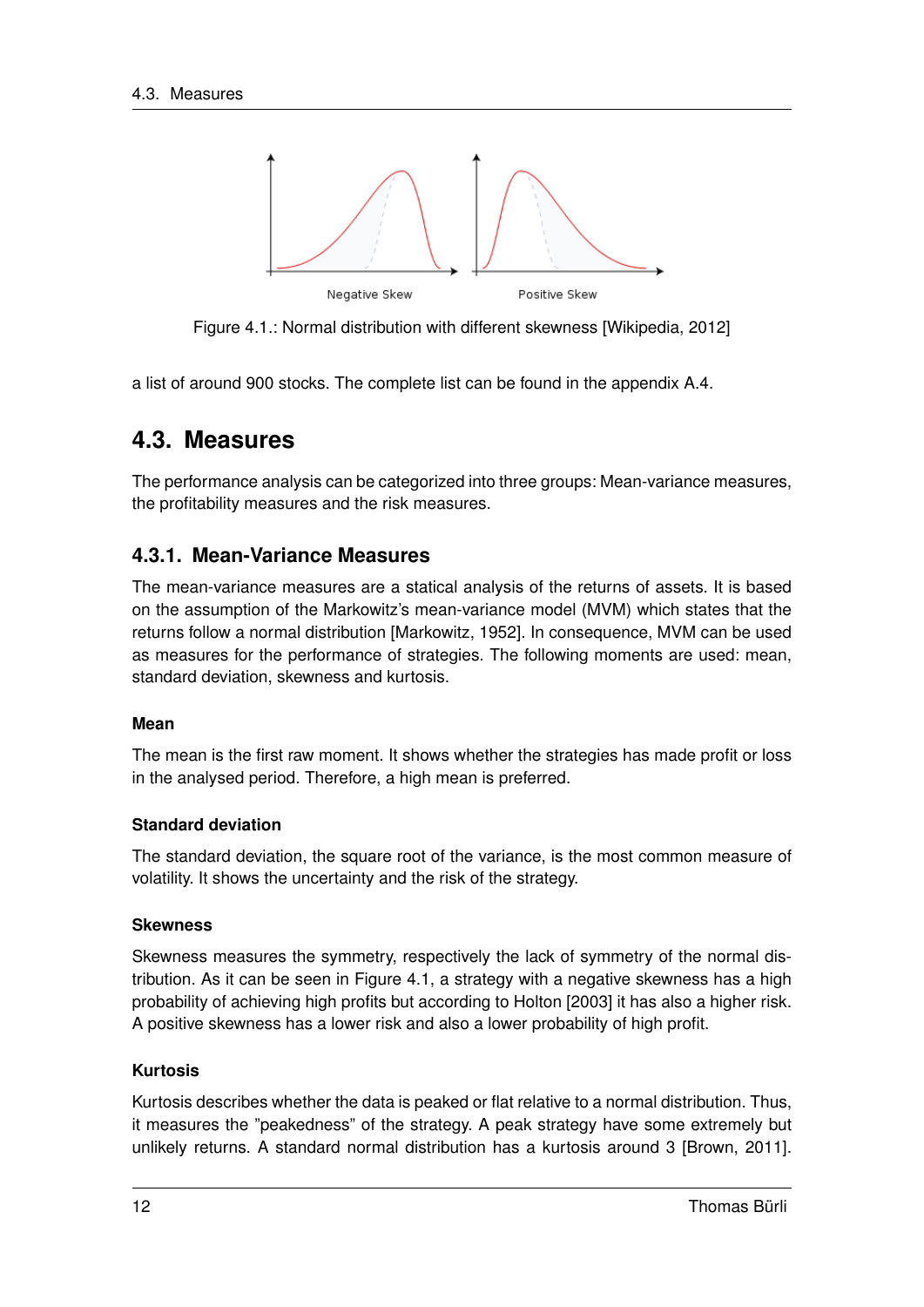

Figure 4.1.: Normal distribution with different skewness [Wikipedia, 2012]

a list of around 900 stocks. The complete list can be found in the appendix A.4.

### **4.3. Measures**

The performance analysis can be categorized into three groups: Mean-variance measures, the profitability measures and the risk measures.

#### **4.3.1. Mean-Variance Measures**

The mean-variance measures are a statical analysis of the returns of assets. It is based on the assumption of the Markowitz's mean-variance model (MVM) which states that the returns follow a normal distribution [Markowitz, 1952]. In consequence, MVM can be used as measures for the performance of strategies. The following moments are used: mean, standard deviation, skewness and kurtosis.

#### **Mean**

The mean is the first raw moment. It shows whether the strategies has made profit or loss in the analysed period. Therefore, a high mean is preferred.

#### **Standard deviation**

The standard deviation, the square root of the variance, is the most common measure of volatility. It shows the uncertainty and the risk of the strategy.

#### **Skewness**

Skewness measures the symmetry, respectively the lack of symmetry of the normal distribution. As it can be seen in Figure 4.1, a strategy with a negative skewness has a high probability of achieving high profits but according to Holton [2003] it has also a higher risk. A positive skewness has a lower risk and also a lower probability of high profit.

#### **Kurtosis**

Kurtosis describes whether the data is peaked or flat relative to a normal distribution. Thus, it measures the "peakedness" of the strategy. A peak strategy have some extremely but unlikely returns. A standard normal distribution has a kurtosis around 3 [Brown, 2011].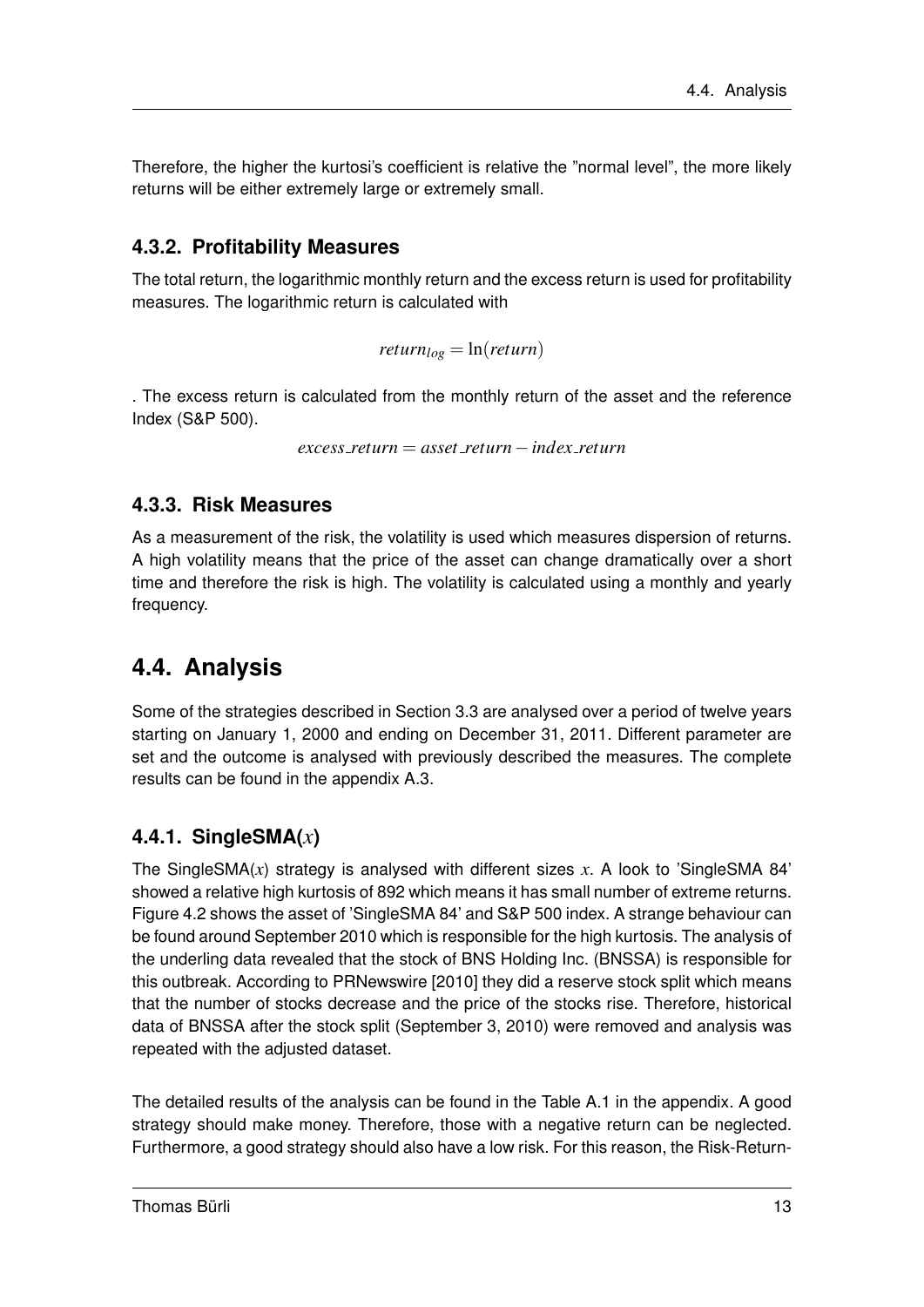Therefore, the higher the kurtosi's coefficient is relative the "normal level", the more likely returns will be either extremely large or extremely small.

#### **4.3.2. Profitability Measures**

The total return, the logarithmic monthly return and the excess return is used for profitability measures. The logarithmic return is calculated with

 $return<sub>log</sub> = ln(*return*)$ 

. The excess return is calculated from the monthly return of the asset and the reference Index (S&P 500).

*excess return* = *asset return*−*index return*

#### **4.3.3. Risk Measures**

As a measurement of the risk, the volatility is used which measures dispersion of returns. A high volatility means that the price of the asset can change dramatically over a short time and therefore the risk is high. The volatility is calculated using a monthly and yearly frequency.

### **4.4. Analysis**

Some of the strategies described in Section 3.3 are analysed over a period of twelve years starting on January 1, 2000 and ending on December 31, 2011. Different parameter are set and the outcome is analysed with previously described the measures. The complete results can be found in the appendix A.3.

#### **4.4.1. SingleSMA(***x***)**

The SingleSMA(*x*) strategy is analysed with different sizes *x*. A look to 'SingleSMA 84' showed a relative high kurtosis of 892 which means it has small number of extreme returns. Figure 4.2 shows the asset of 'SingleSMA 84' and S&P 500 index. A strange behaviour can be found around September 2010 which is responsible for the high kurtosis. The analysis of the underling data revealed that the stock of BNS Holding Inc. (BNSSA) is responsible for this outbreak. According to PRNewswire [2010] they did a reserve stock split which means that the number of stocks decrease and the price of the stocks rise. Therefore, historical data of BNSSA after the stock split (September 3, 2010) were removed and analysis was repeated with the adjusted dataset.

The detailed results of the analysis can be found in the Table A.1 in the appendix. A good strategy should make money. Therefore, those with a negative return can be neglected. Furthermore, a good strategy should also have a low risk. For this reason, the Risk-Return-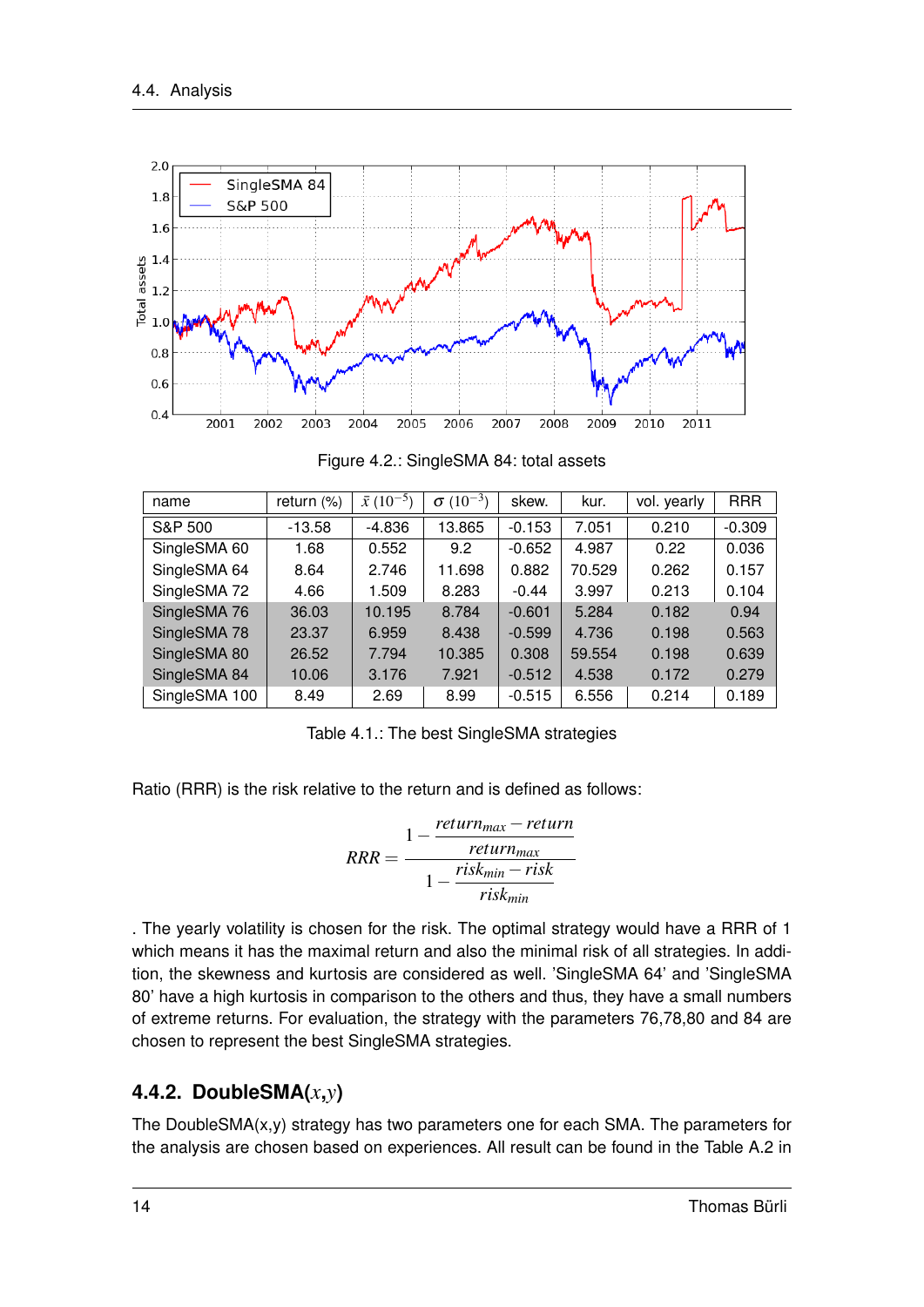

Figure 4.2.: SingleSMA 84: total assets

| name          | return $(\%)$ | $\bar{x}$ (10 <sup>-5</sup> ) | $(10^{-3})$<br>$\sigma$ | skew.    | kur.   | vol. yearly | <b>RRR</b> |
|---------------|---------------|-------------------------------|-------------------------|----------|--------|-------------|------------|
| S&P 500       | $-13.58$      | $-4.836$                      | 13.865                  | $-0.153$ | 7.051  | 0.210       | $-0.309$   |
| SingleSMA 60  | 1.68          | 0.552                         | 9.2                     | $-0.652$ | 4.987  | 0.22        | 0.036      |
| SingleSMA 64  | 8.64          | 2.746                         | 11.698                  | 0.882    | 70.529 | 0.262       | 0.157      |
| SingleSMA 72  | 4.66          | 1.509                         | 8.283                   | $-0.44$  | 3.997  | 0.213       | 0.104      |
| SingleSMA 76  | 36.03         | 10.195                        | 8.784                   | $-0.601$ | 5.284  | 0.182       | 0.94       |
| SingleSMA 78  | 23.37         | 6.959                         | 8.438                   | $-0.599$ | 4.736  | 0.198       | 0.563      |
| SingleSMA 80  | 26.52         | 7.794                         | 10.385                  | 0.308    | 59.554 | 0.198       | 0.639      |
| SingleSMA 84  | 10.06         | 3.176                         | 7.921                   | $-0.512$ | 4.538  | 0.172       | 0.279      |
| SingleSMA 100 | 8.49          | 2.69                          | 8.99                    | $-0.515$ | 6.556  | 0.214       | 0.189      |

Table 4.1.: The best SingleSMA strategies

Ratio (RRR) is the risk relative to the return and is defined as follows:

$$
RRR = \frac{1 - \frac{return_{max} - return}{return_{max}}}{1 - \frac{risk_{min} - risk}{risk_{min}}}
$$

. The yearly volatility is chosen for the risk. The optimal strategy would have a RRR of 1 which means it has the maximal return and also the minimal risk of all strategies. In addition, the skewness and kurtosis are considered as well. 'SingleSMA 64' and 'SingleSMA 80' have a high kurtosis in comparison to the others and thus, they have a small numbers of extreme returns. For evaluation, the strategy with the parameters 76,78,80 and 84 are chosen to represent the best SingleSMA strategies.

#### **4.4.2. DoubleSMA(***x***,***y***)**

The DoubleSMA(x,y) strategy has two parameters one for each SMA. The parameters for the analysis are chosen based on experiences. All result can be found in the Table A.2 in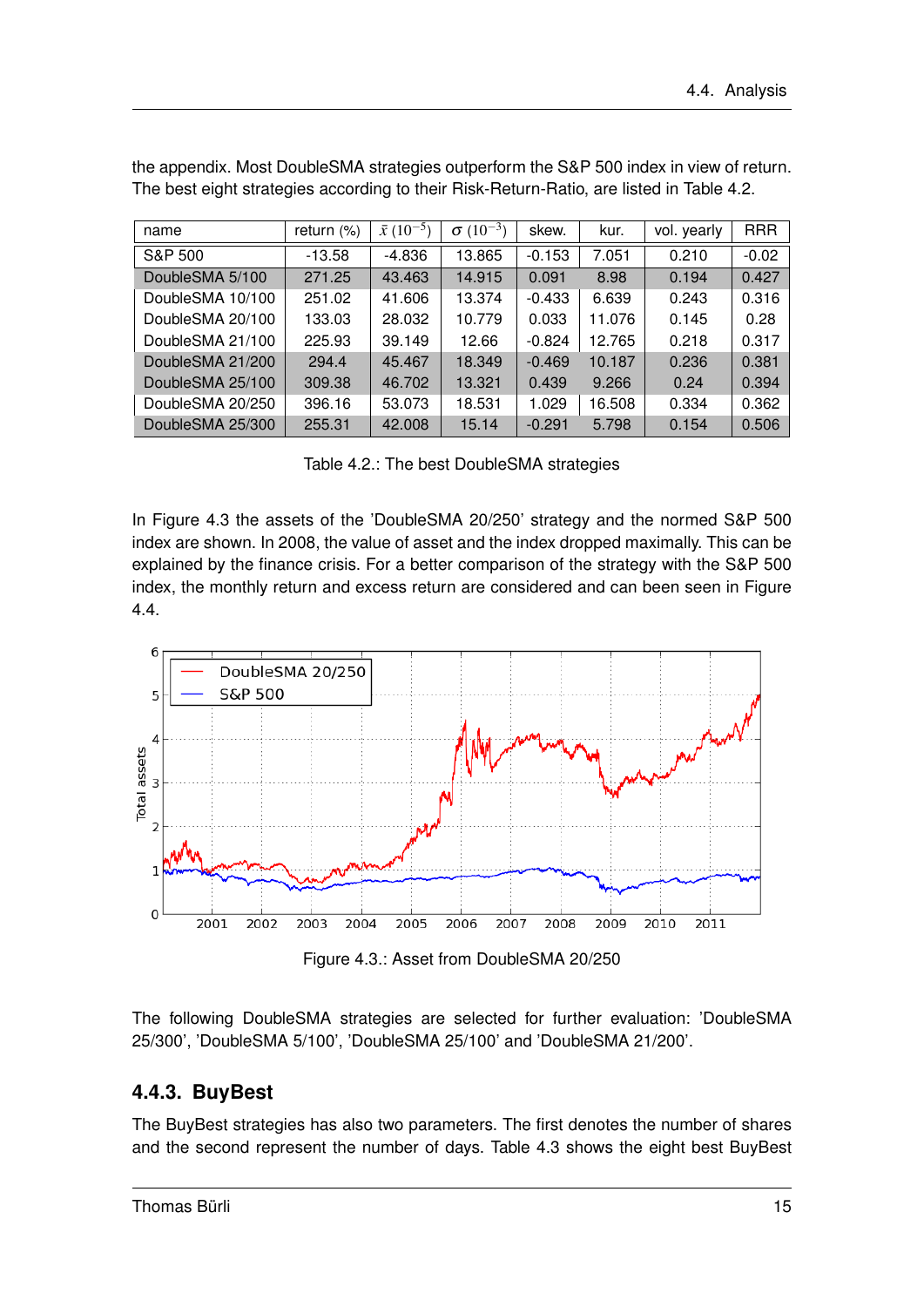| name             | return $(\%)$ | $\bar{x}$ (10 <sup>-5</sup> ) | $\sigma(10^{-3})$ | skew.    | kur.   | vol. yearly | <b>RRR</b> |
|------------------|---------------|-------------------------------|-------------------|----------|--------|-------------|------------|
| S&P 500          | $-13.58$      | $-4.836$                      | 13.865            | $-0.153$ | 7.051  | 0.210       | $-0.02$    |
| DoubleSMA 5/100  | 271.25        | 43.463                        | 14.915            | 0.091    | 8.98   | 0.194       | 0.427      |
| DoubleSMA 10/100 | 251.02        | 41.606                        | 13.374            | $-0.433$ | 6.639  | 0.243       | 0.316      |
| DoubleSMA 20/100 | 133.03        | 28.032                        | 10.779            | 0.033    | 11.076 | 0.145       | 0.28       |
| DoubleSMA 21/100 | 225.93        | 39.149                        | 12.66             | $-0.824$ | 12.765 | 0.218       | 0.317      |
| DoubleSMA 21/200 | 294.4         | 45.467                        | 18.349            | $-0.469$ | 10.187 | 0.236       | 0.381      |
| DoubleSMA 25/100 | 309.38        | 46.702                        | 13.321            | 0.439    | 9.266  | 0.24        | 0.394      |
| DoubleSMA 20/250 | 396.16        | 53.073                        | 18.531            | 1.029    | 16.508 | 0.334       | 0.362      |
| DoubleSMA 25/300 | 255.31        | 42,008                        | 15.14             | $-0.291$ | 5.798  | 0.154       | 0.506      |

the appendix. Most DoubleSMA strategies outperform the S&P 500 index in view of return. The best eight strategies according to their Risk-Return-Ratio, are listed in Table 4.2.

Table 4.2.: The best DoubleSMA strategies

In Figure 4.3 the assets of the 'DoubleSMA 20/250' strategy and the normed S&P 500 index are shown. In 2008, the value of asset and the index dropped maximally. This can be explained by the finance crisis. For a better comparison of the strategy with the S&P 500 index, the monthly return and excess return are considered and can been seen in Figure 4.4.



Figure 4.3.: Asset from DoubleSMA 20/250

The following DoubleSMA strategies are selected for further evaluation: 'DoubleSMA 25/300', 'DoubleSMA 5/100', 'DoubleSMA 25/100' and 'DoubleSMA 21/200'.

#### **4.4.3. BuyBest**

The BuyBest strategies has also two parameters. The first denotes the number of shares and the second represent the number of days. Table 4.3 shows the eight best BuyBest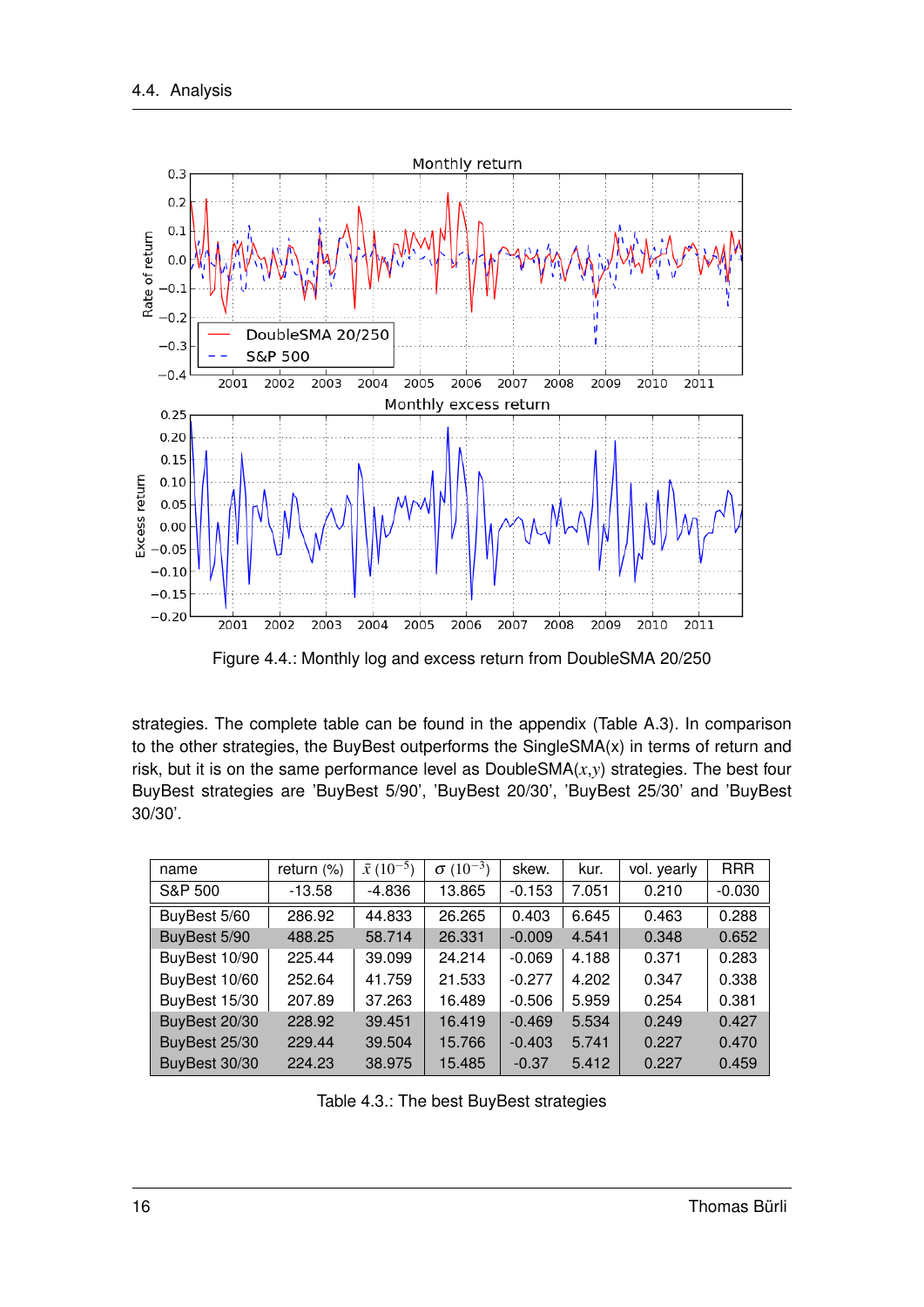

Figure 4.4.: Monthly log and excess return from DoubleSMA 20/250

strategies. The complete table can be found in the appendix (Table A.3). In comparison to the other strategies, the BuyBest outperforms the SingleSMA(x) in terms of return and risk, but it is on the same performance level as DoubleSMA(*x*,*y*) strategies. The best four BuyBest strategies are 'BuyBest 5/90', 'BuyBest 20/30', 'BuyBest 25/30' and 'BuyBest 30/30'.

| name          | return (%) | $\bar{x}$ (10 <sup>-5</sup> ) | $\sigma(10^{-3})$ | skew.    | kur.  | vol. yearly | <b>RRR</b> |
|---------------|------------|-------------------------------|-------------------|----------|-------|-------------|------------|
| S&P 500       | $-13.58$   | $-4.836$                      | 13.865            | $-0.153$ | 7.051 | 0.210       | $-0.030$   |
| BuyBest 5/60  | 286.92     | 44.833                        | 26.265            | 0.403    | 6.645 | 0.463       | 0.288      |
| BuyBest 5/90  | 488.25     | 58.714                        | 26.331            | $-0.009$ | 4.541 | 0.348       | 0.652      |
| BuyBest 10/90 | 225.44     | 39.099                        | 24.214            | $-0.069$ | 4.188 | 0.371       | 0.283      |
| BuyBest 10/60 | 252.64     | 41.759                        | 21.533            | $-0.277$ | 4.202 | 0.347       | 0.338      |
| BuyBest 15/30 | 207.89     | 37.263                        | 16.489            | $-0.506$ | 5.959 | 0.254       | 0.381      |
| BuyBest 20/30 | 228.92     | 39.451                        | 16.419            | $-0.469$ | 5.534 | 0.249       | 0.427      |
| BuyBest 25/30 | 229.44     | 39.504                        | 15.766            | $-0.403$ | 5.741 | 0.227       | 0.470      |
| BuyBest 30/30 | 224.23     | 38.975                        | 15.485            | $-0.37$  | 5.412 | 0.227       | 0.459      |

Table 4.3.: The best BuyBest strategies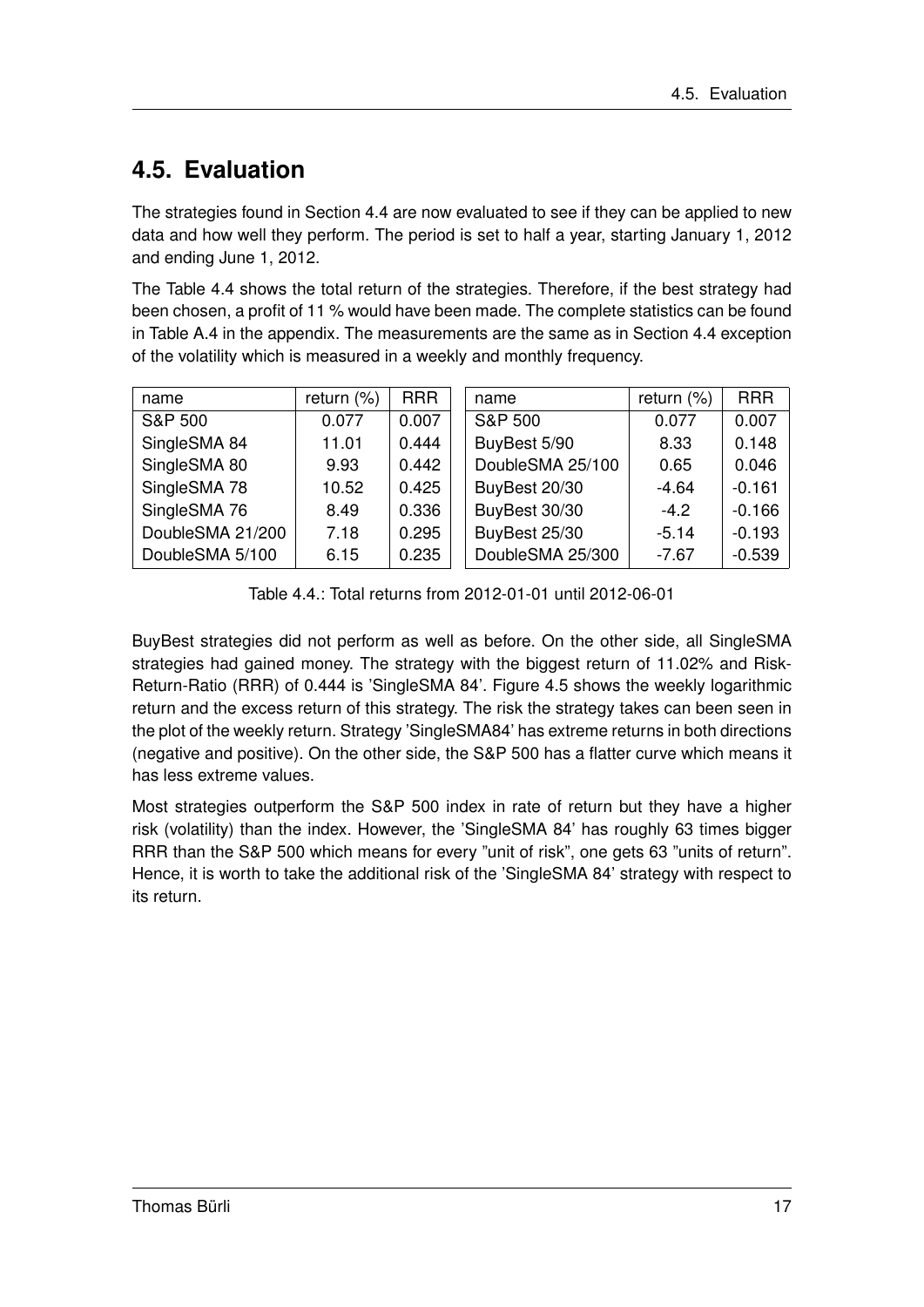## **4.5. Evaluation**

The strategies found in Section 4.4 are now evaluated to see if they can be applied to new data and how well they perform. The period is set to half a year, starting January 1, 2012 and ending June 1, 2012.

The Table 4.4 shows the total return of the strategies. Therefore, if the best strategy had been chosen, a profit of 11 % would have been made. The complete statistics can be found in Table A.4 in the appendix. The measurements are the same as in Section 4.4 exception of the volatility which is measured in a weekly and monthly frequency.

| name             | return $(\%)$ | <b>RRR</b> | name             | return $(\%)$ | <b>RRR</b> |
|------------------|---------------|------------|------------------|---------------|------------|
| S&P 500          | 0.077         | 0.007      | S&P 500          | 0.077         | 0.007      |
| SingleSMA 84     | 11.01         | 0.444      | BuyBest 5/90     | 8.33          | 0.148      |
| SingleSMA 80     | 9.93          | 0.442      | DoubleSMA 25/100 | 0.65          | 0.046      |
| SingleSMA 78     | 10.52         | 0.425      | BuyBest 20/30    | $-4.64$       | $-0.161$   |
| SingleSMA 76     | 8.49          | 0.336      | BuyBest 30/30    | $-4.2$        | $-0.166$   |
| DoubleSMA 21/200 | 7.18          | 0.295      | BuyBest 25/30    | $-5.14$       | $-0.193$   |
| DoubleSMA 5/100  | 6.15          | 0.235      | DoubleSMA 25/300 | $-7.67$       | $-0.539$   |

Table 4.4.: Total returns from 2012-01-01 until 2012-06-01

BuyBest strategies did not perform as well as before. On the other side, all SingleSMA strategies had gained money. The strategy with the biggest return of 11.02% and Risk-Return-Ratio (RRR) of 0.444 is 'SingleSMA 84'. Figure 4.5 shows the weekly logarithmic return and the excess return of this strategy. The risk the strategy takes can been seen in the plot of the weekly return. Strategy 'SingleSMA84' has extreme returns in both directions (negative and positive). On the other side, the S&P 500 has a flatter curve which means it has less extreme values.

Most strategies outperform the S&P 500 index in rate of return but they have a higher risk (volatility) than the index. However, the 'SingleSMA 84' has roughly 63 times bigger RRR than the S&P 500 which means for every "unit of risk", one gets 63 "units of return". Hence, it is worth to take the additional risk of the 'SingleSMA 84' strategy with respect to its return.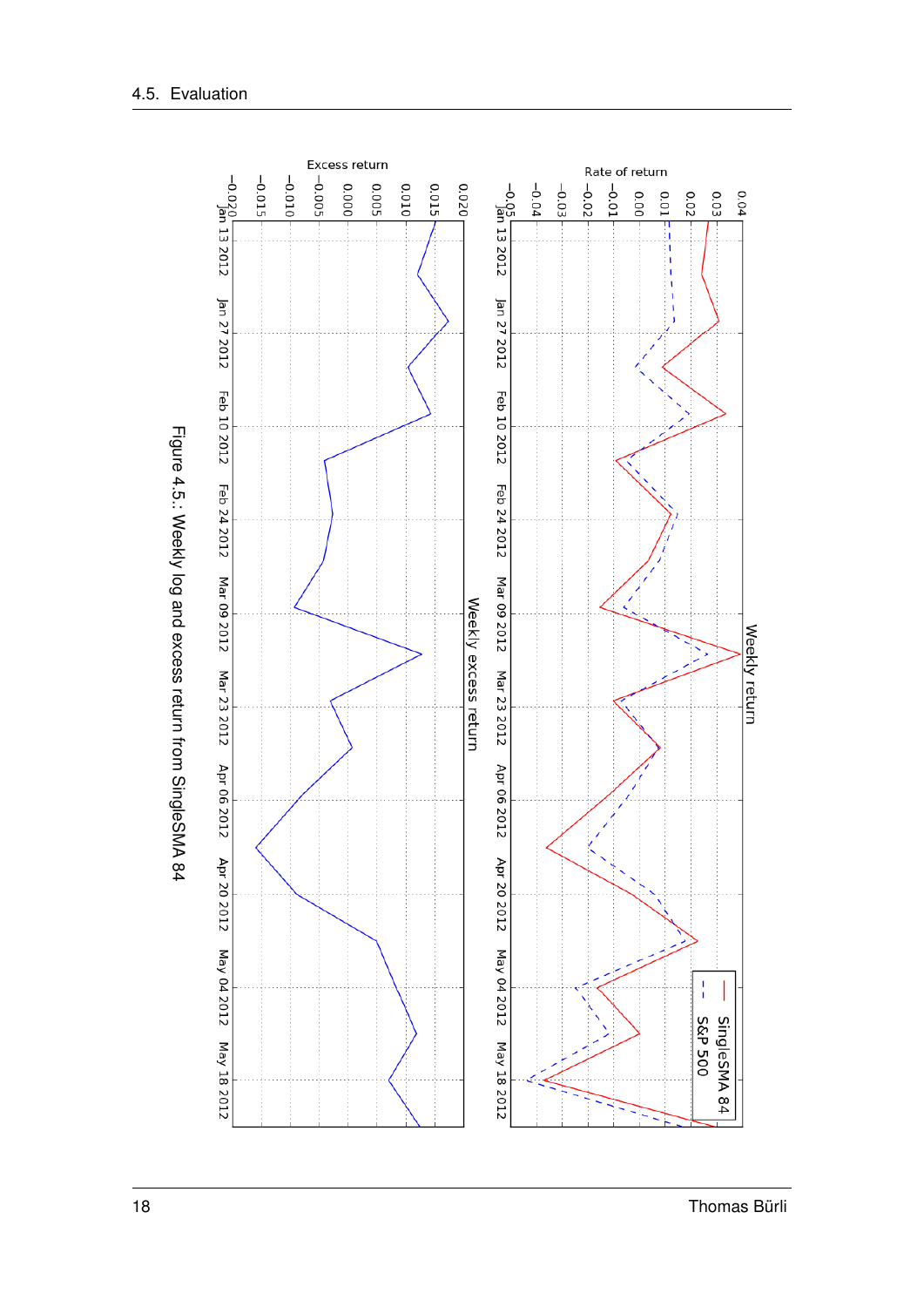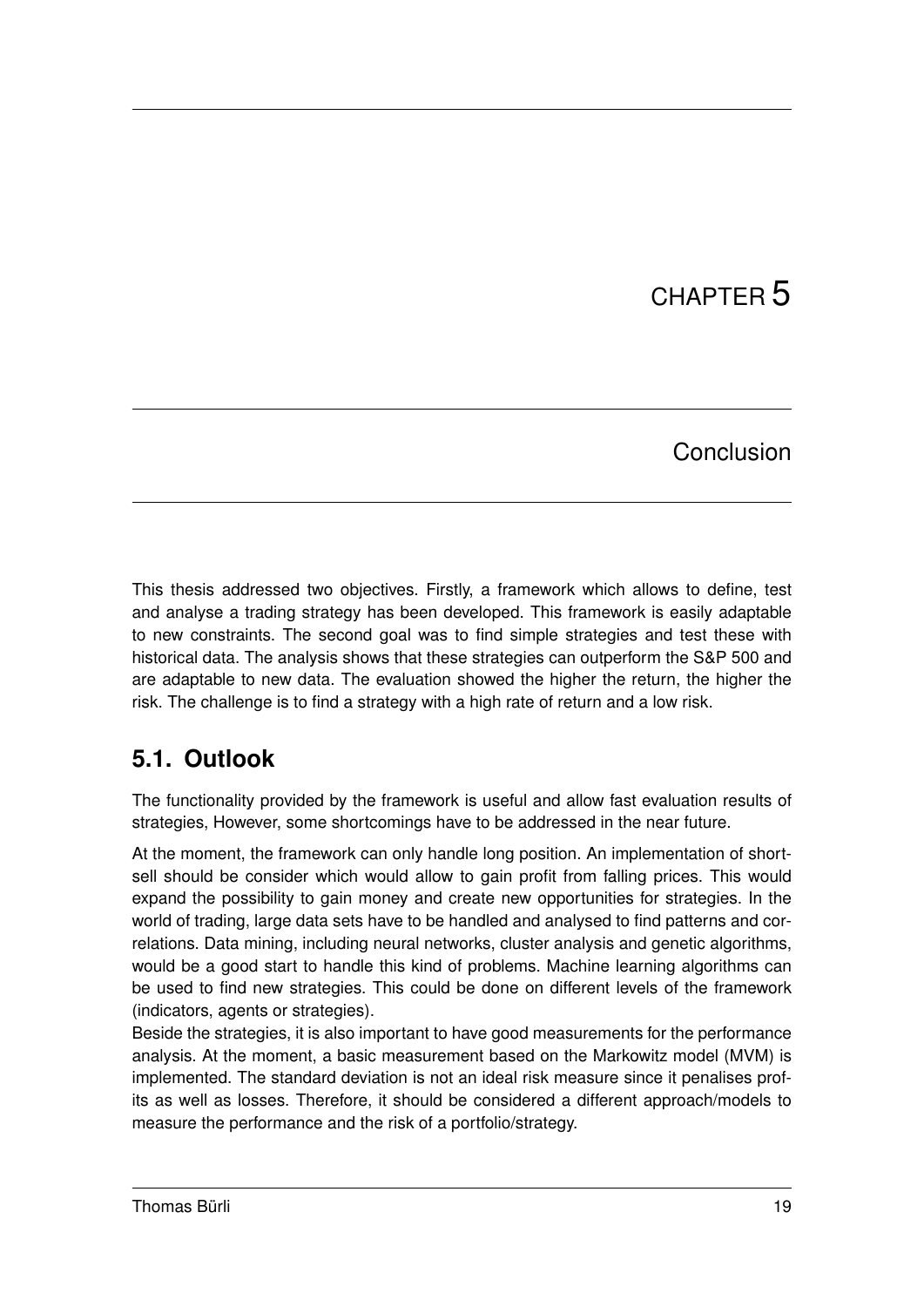# CHAPTER 5

### Conclusion

This thesis addressed two objectives. Firstly, a framework which allows to define, test and analyse a trading strategy has been developed. This framework is easily adaptable to new constraints. The second goal was to find simple strategies and test these with historical data. The analysis shows that these strategies can outperform the S&P 500 and are adaptable to new data. The evaluation showed the higher the return, the higher the risk. The challenge is to find a strategy with a high rate of return and a low risk.

## **5.1. Outlook**

The functionality provided by the framework is useful and allow fast evaluation results of strategies, However, some shortcomings have to be addressed in the near future.

At the moment, the framework can only handle long position. An implementation of shortsell should be consider which would allow to gain profit from falling prices. This would expand the possibility to gain money and create new opportunities for strategies. In the world of trading, large data sets have to be handled and analysed to find patterns and correlations. Data mining, including neural networks, cluster analysis and genetic algorithms, would be a good start to handle this kind of problems. Machine learning algorithms can be used to find new strategies. This could be done on different levels of the framework (indicators, agents or strategies).

Beside the strategies, it is also important to have good measurements for the performance analysis. At the moment, a basic measurement based on the Markowitz model (MVM) is implemented. The standard deviation is not an ideal risk measure since it penalises profits as well as losses. Therefore, it should be considered a different approach/models to measure the performance and the risk of a portfolio/strategy.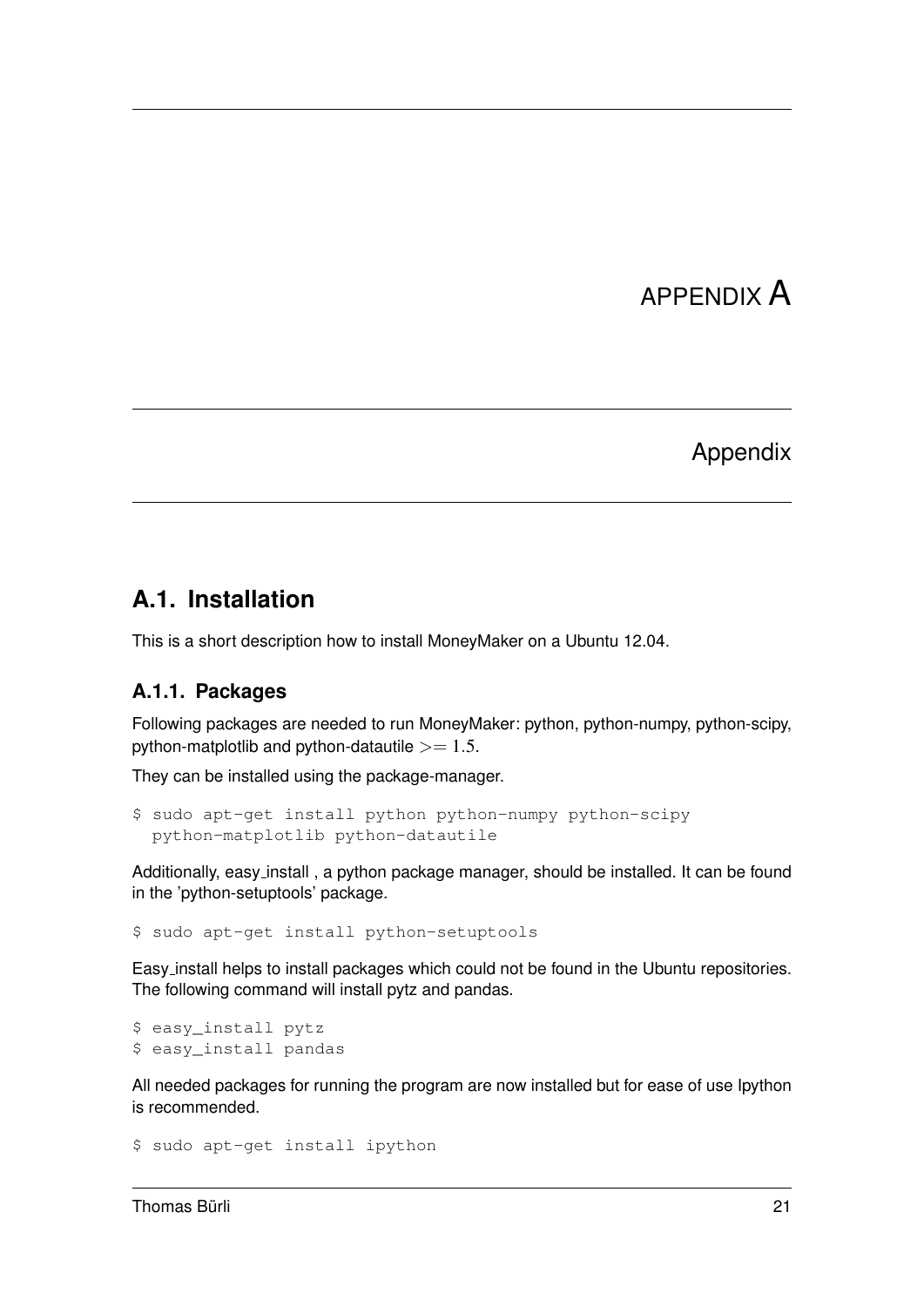## APPENDIX A

### Appendix

### **A.1. Installation**

This is a short description how to install MoneyMaker on a Ubuntu 12.04.

#### **A.1.1. Packages**

Following packages are needed to run MoneyMaker: python, python-numpy, python-scipy, python-matplotlib and python-datautile  $>= 1.5$ .

They can be installed using the package-manager.

```
$ sudo apt-get install python python-numpy python-scipy
 python-matplotlib python-datautile
```
Additionally, easy\_install, a python package manager, should be installed. It can be found in the 'python-setuptools' package.

\$ sudo apt-get install python-setuptools

Easy install helps to install packages which could not be found in the Ubuntu repositories. The following command will install pytz and pandas.

```
$ easy_install pytz
$ easy_install pandas
```
All needed packages for running the program are now installed but for ease of use Ipython is recommended.

```
$ sudo apt-get install ipython
```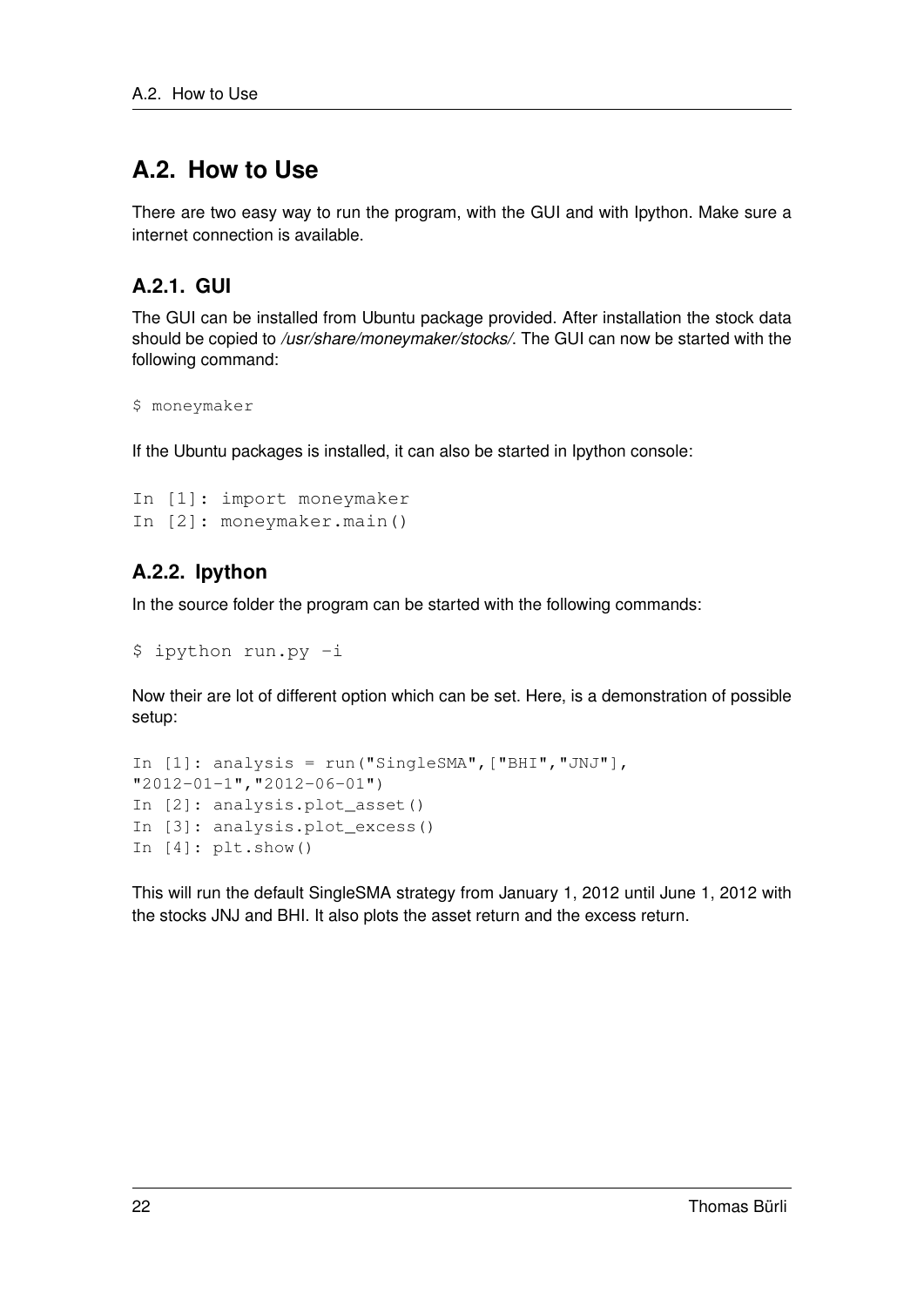## **A.2. How to Use**

There are two easy way to run the program, with the GUI and with Ipython. Make sure a internet connection is available.

### **A.2.1. GUI**

The GUI can be installed from Ubuntu package provided. After installation the stock data should be copied to */usr/share/moneymaker/stocks/*. The GUI can now be started with the following command:

```
$ moneymaker
```
If the Ubuntu packages is installed, it can also be started in Ipython console:

```
In [1]: import moneymaker
In [2]: moneymaker.main()
```
### **A.2.2. Ipython**

In the source folder the program can be started with the following commands:

```
$ ipython run.py -i
```
Now their are lot of different option which can be set. Here, is a demonstration of possible setup:

```
In [1]: analysis = run("SingleSMA", ["BHI", "JNJ"],
"2012-01-1","2012-06-01")
In [2]: analysis.plot_asset()
In [3]: analysis.plot excess()
In [4]: plt.show()
```
This will run the default SingleSMA strategy from January 1, 2012 until June 1, 2012 with the stocks JNJ and BHI. It also plots the asset return and the excess return.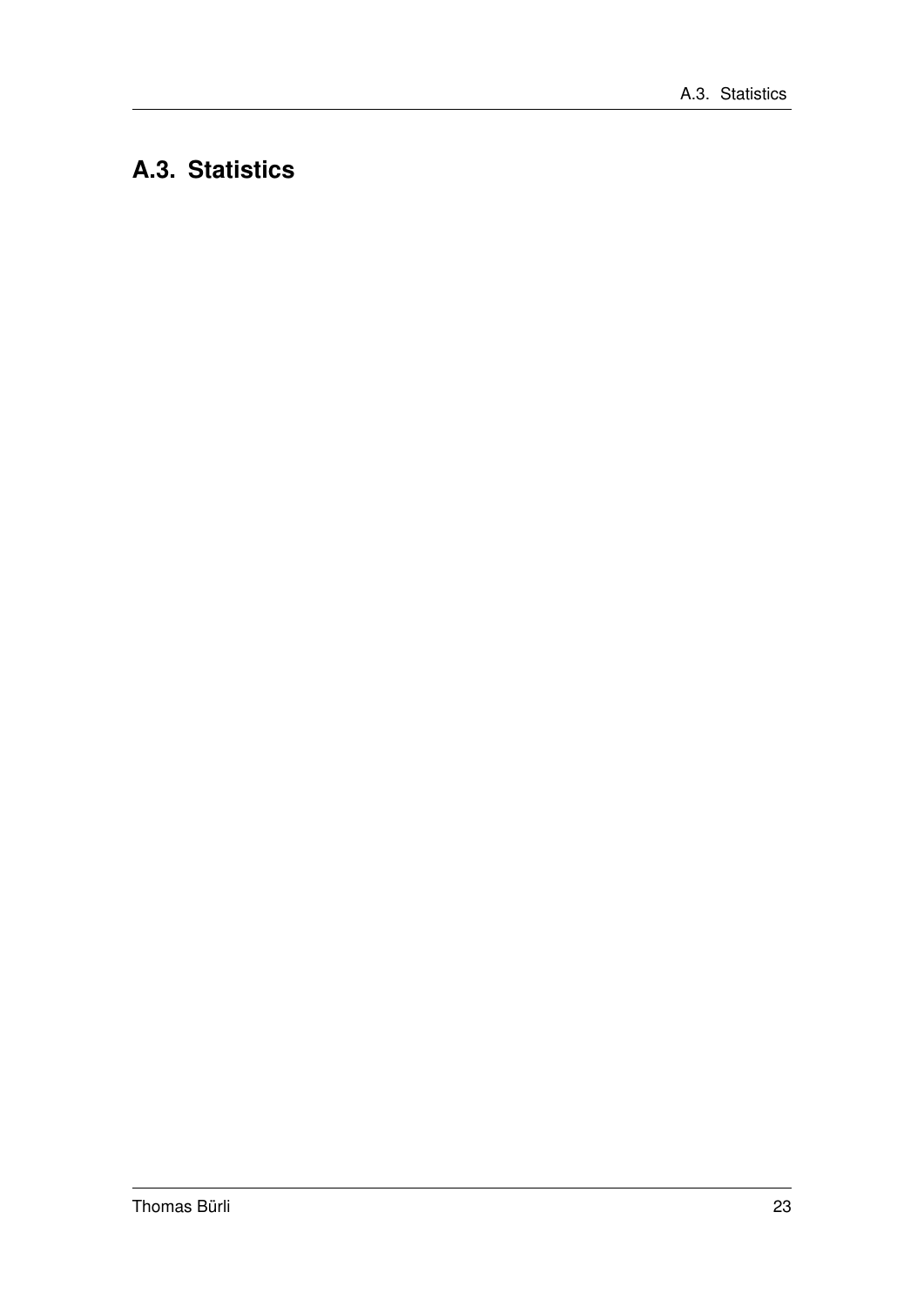## A.3. Statistics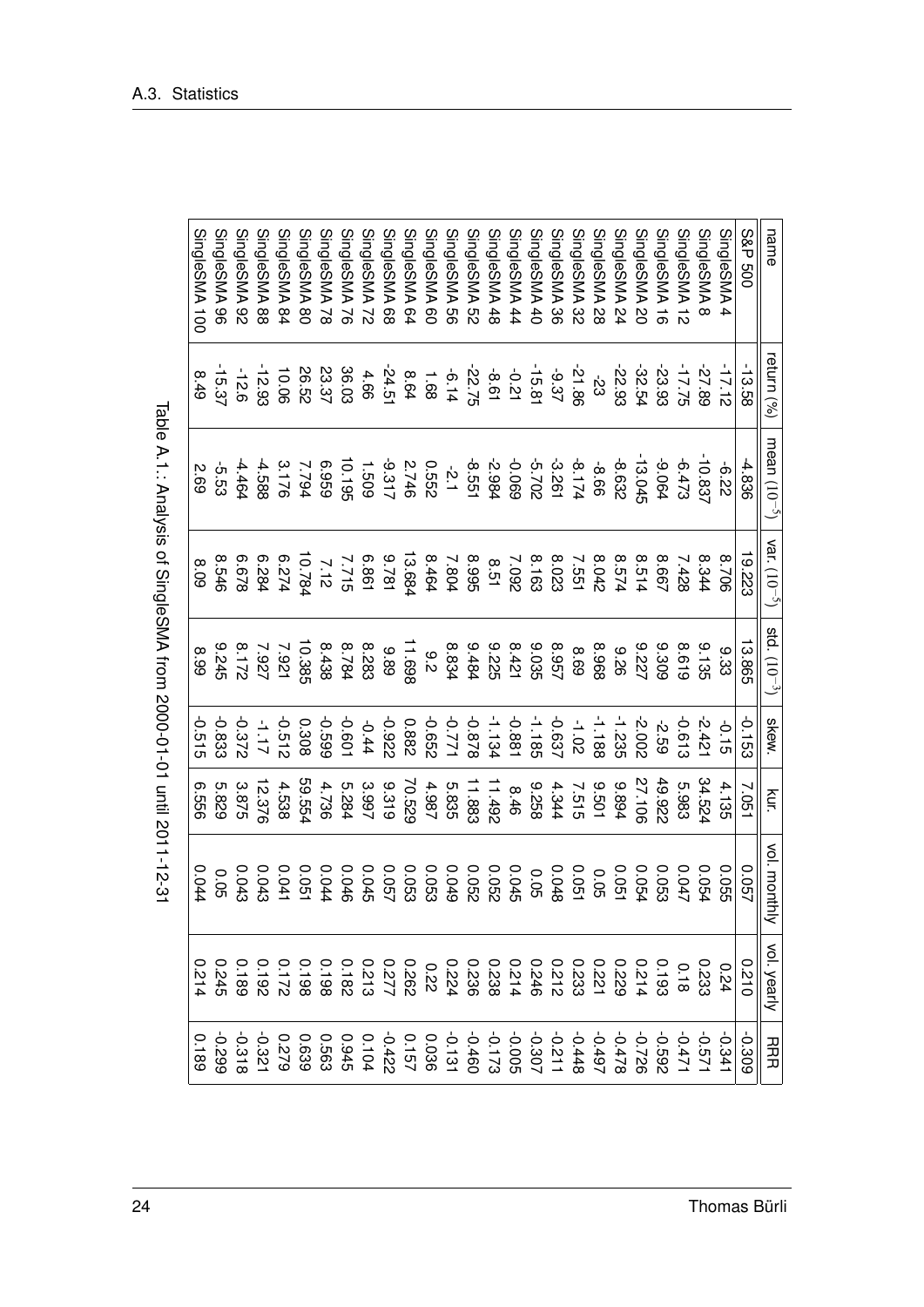| $\overline{\phantom{a}}$     |
|------------------------------|
|                              |
|                              |
|                              |
|                              |
|                              |
|                              |
|                              |
|                              |
|                              |
|                              |
|                              |
|                              |
|                              |
|                              |
|                              |
| <b>&gt;</b> >>-sip >+        |
|                              |
|                              |
|                              |
|                              |
|                              |
|                              |
|                              |
|                              |
|                              |
|                              |
|                              |
|                              |
|                              |
|                              |
|                              |
|                              |
|                              |
|                              |
|                              |
|                              |
|                              |
|                              |
|                              |
|                              |
|                              |
| <b>PARA DT</b>               |
|                              |
|                              |
|                              |
|                              |
|                              |
|                              |
|                              |
|                              |
|                              |
|                              |
|                              |
|                              |
|                              |
|                              |
|                              |
|                              |
|                              |
|                              |
|                              |
|                              |
|                              |
| .<br>נ<br>ג<br>$\frac{1}{2}$ |
|                              |
|                              |
|                              |
|                              |

| name                     | eturn (%)           | mean $(10^{-5})$   | var. $(10^{-5})$ | std. $(10^{-3})$ | skew.    | kur.   | vol. monthly   | vol. yearly | <b>HRR</b> |
|--------------------------|---------------------|--------------------|------------------|------------------|----------|--------|----------------|-------------|------------|
| S&P 500                  | $-13.58$            | 4.836              | 19.223           | 13.865           | $-0.153$ | 7.051  | 750.0          | 01210       | 0.309      |
| <b>SingleSMA</b><br>4    | $-17.12$            | -6.22              | 8.706            | 9.33             | $-0.15$  | 4.135  | 0.055          | 0.24        | $-0.341$   |
| SingleSMA8               | -27.89              | -10.837            | 8.344            | 9.135            | $-2.421$ | 34.524 | 0.054          | 0.233       | -0.571     |
| SingleSMA <sub>12</sub>  | $-17.75$            | $-6.473$           | 7.428            | 8.619            | -0.613   | 5.983  | 740.0          | 0.18        | $-0.471$   |
| SingleSMA 16             | -23.93              | -9.064             | 8.667            | 8309             | -2.59    | 49.922 | 0.053          |             |            |
| SingleSMA 20             | -32.54              | $-13.045$          | 8.514            | 222              | 2.002    | 27.106 | 0.054          |             |            |
| SingleSMA 24             | -22.93              | -8.632             | 8.574            | 92.6             | -1.235   | 9.894  | 0.051          |             |            |
| SingleSMA 28             | $\overline{3}$      | -8.66              | 8.042            | 8968             | $-1.188$ | 109.6  | <b>GO</b> :0   |             |            |
| SingleSMA 32             | -21.86              | $-8.174$<br>-3.261 | 7.551            | 8.69             | $-1.02$  | 7.515  | 0.051          |             |            |
| SingleSMA 36             | $-9.37$             |                    | 8.023            | 8.957            | -0.637   | 4.344  | 0.048          |             |            |
| SingleSMA 40             | $-15.81$            | <b>2025</b>        | 8.163            | 3.035            | $-1.185$ | 8226   | <b>GO</b> :0   |             |            |
| SingleSMA 44             | $-0.21$             | 690'0-             | 7.092            | 8.421<br>9.225   | -0.881   | 8.46   | 0.045          |             |            |
| SingleSMA 48             | $-8.61$             | -2.984             | 8.51             |                  | $-1.134$ | 11.492 | 290.0          |             |            |
| SingleSMA 52             |                     | -8.551             | <b>S66'8</b>     | 9.484            | 878.0    | 11.883 | 0.052<br>0.049 |             |            |
| SingleSMA 56             | $-22.75$<br>$-6.14$ | $-2.1$             | 7.804            | 8.834            | -0.771   | 5.835  |                |             |            |
| SingleSMA 60             | $1.68$<br>8.64      | 2550               | 8.464            | $\frac{9}{2}$    | -0.652   | 4.987  | 0.053          | <b>0.22</b> |            |
| SingleSMA 64             |                     | $2.746$<br>-9.317  | 13.684           | 11.698           | 0.882    | 70.529 | 0.053          |             |            |
| SingleSMA 68             | $-24.51$            |                    | 9.781<br>6.861   | 88.6             | -0.922   | 9.319  | 750.0          |             |            |
| SingleSMA 72             | 4.66                | 1.509              |                  | 8.283<br>8.784   | $-0.44$  | 3.997  | 0.045          |             |            |
| SingleSMA 76             | 36.03               | 10.195             | 2.715            |                  | $-0.601$ | 5.284  | 0.046          |             |            |
| SingleSMA 78             | 23.37               | 636'9              | 7.12             | 8.438            | 669'0-   | 4.736  | 0.044          |             |            |
| SingleSMA 80             | 26.52               | 7.794              | 10.784           | 10.385           | 0.308    | 59.554 | 0.051          |             |            |
| SingleSMA 84             | 10.06               | 3.176              | 6.274            | 7.921            | $-0.512$ | 4.538  | 0.041          |             |            |
| SingleSMA 88             | 12.93               | -4.588             | 6.284            | 7.927            | $21.1 -$ | 12.376 | 0.043          | 0.192       | $-0.321$   |
| SingleSMA 92             | $-12.6$             | $-4.464$           | 829'9            | 8.172<br>9.245   | -0.372   | 3.875  | 0.043          | 0.189       | $-0.318$   |
| SingleSMA 96             | 15.37               | 5.53               | 8.546            |                  | -0.833   | 5.829  | <b>0.05</b>    | 0.245       | 662'0-     |
| SingleSMA <sub>100</sub> | 8.49                | 2.69               | 8.09             | 8.99             | $-0.515$ | 9999   | 0.044          | 0.214       | 0.189      |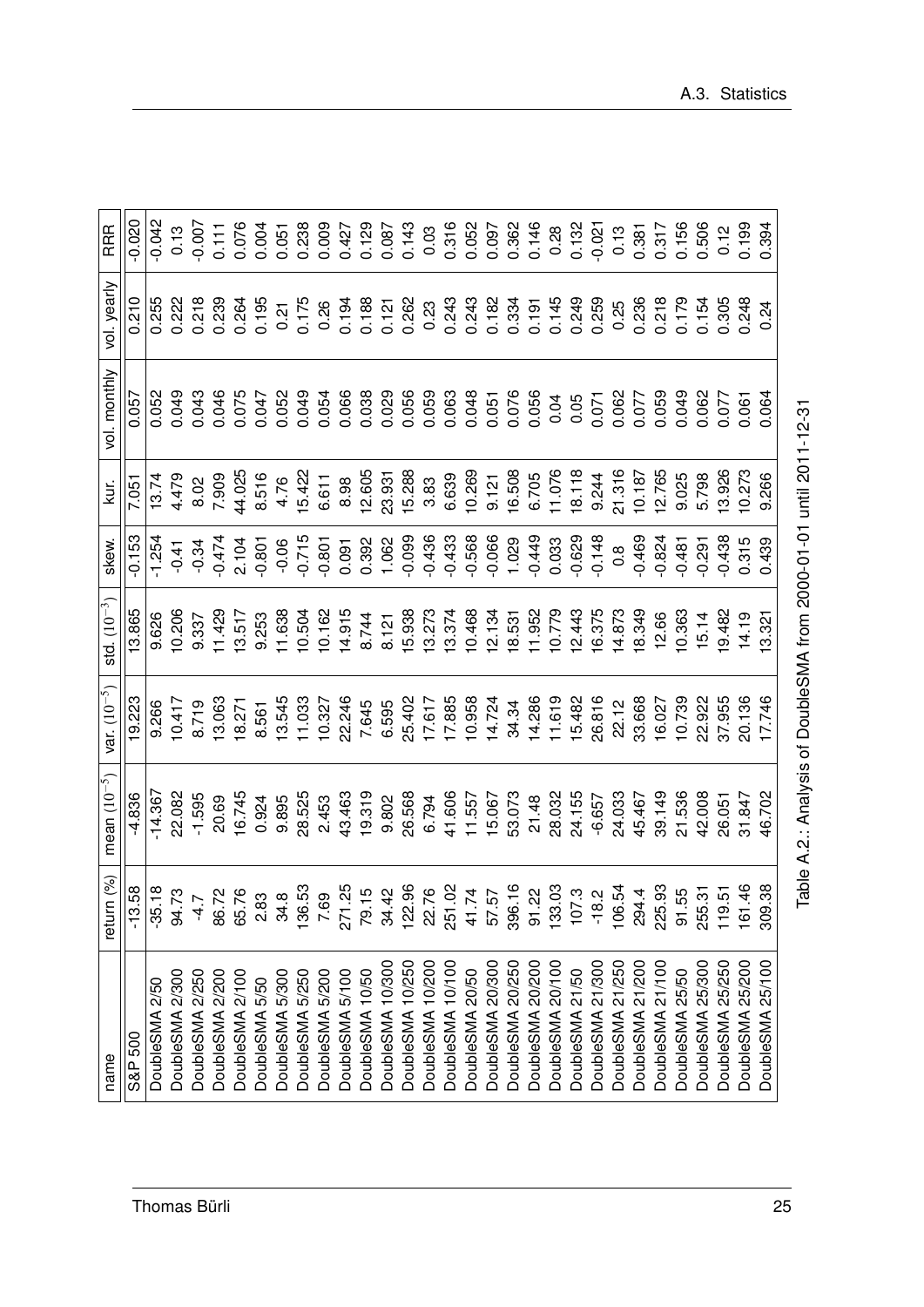| DoubleSMA <sub>10/50</sub><br>DoubleSMA 5/100<br>2/300<br>2/250<br>DoubleSMA 2/200<br>DoubleSMA 2/100<br>DoubleSMA 5/300<br>DoubleSMA 5/250<br>5/200<br>5/50<br>DoubleSMA 2/50<br><b>DoubleSMA</b><br><b>DoubleSMA</b><br><b>DoubleSMA</b><br><b>DoubleSMA</b><br>S&P 500 | 16.745<br>14.367<br>22.082<br>28.525<br>$-4.836$<br>$-1.595$<br>0.924<br>9.895<br>20.69 | 19.223<br>10.417<br>9.266 | 13.865<br>9.626  | $-0.153$<br>1.25                              | 7.051<br>$\frac{13.74}{2}$                                                                                                                                                                                                                                                                                                                                                                                     | 0.052<br>0.057 | 0.210                                    | $-0.042$                                    |
|---------------------------------------------------------------------------------------------------------------------------------------------------------------------------------------------------------------------------------------------------------------------------|-----------------------------------------------------------------------------------------|---------------------------|------------------|-----------------------------------------------|----------------------------------------------------------------------------------------------------------------------------------------------------------------------------------------------------------------------------------------------------------------------------------------------------------------------------------------------------------------------------------------------------------------|----------------|------------------------------------------|---------------------------------------------|
|                                                                                                                                                                                                                                                                           |                                                                                         |                           |                  |                                               |                                                                                                                                                                                                                                                                                                                                                                                                                |                |                                          |                                             |
|                                                                                                                                                                                                                                                                           |                                                                                         |                           |                  |                                               |                                                                                                                                                                                                                                                                                                                                                                                                                |                | 0.255                                    |                                             |
|                                                                                                                                                                                                                                                                           |                                                                                         |                           | 10.206           |                                               | 4.479                                                                                                                                                                                                                                                                                                                                                                                                          |                |                                          | 0.13                                        |
|                                                                                                                                                                                                                                                                           |                                                                                         | 8.719                     | 9.337            | $-0.34$                                       | 8.02                                                                                                                                                                                                                                                                                                                                                                                                           |                | 0.218                                    | $-0.007$                                    |
|                                                                                                                                                                                                                                                                           |                                                                                         |                           |                  |                                               | 7.909                                                                                                                                                                                                                                                                                                                                                                                                          |                | 0.239                                    | 0.111                                       |
|                                                                                                                                                                                                                                                                           |                                                                                         | 13.063<br>18.271          | 11.429<br>13.517 | $-0.474$<br>2.104<br>-0.801                   | 44.025<br>8.516                                                                                                                                                                                                                                                                                                                                                                                                |                | 0.264<br>0.195                           | 0.076                                       |
|                                                                                                                                                                                                                                                                           |                                                                                         |                           | 9.253            |                                               |                                                                                                                                                                                                                                                                                                                                                                                                                |                |                                          | 0.004                                       |
|                                                                                                                                                                                                                                                                           |                                                                                         |                           | 11.638           | $-0.06$                                       |                                                                                                                                                                                                                                                                                                                                                                                                                |                | 0.21                                     | 0.051                                       |
|                                                                                                                                                                                                                                                                           |                                                                                         |                           |                  |                                               |                                                                                                                                                                                                                                                                                                                                                                                                                |                |                                          |                                             |
|                                                                                                                                                                                                                                                                           |                                                                                         |                           |                  |                                               |                                                                                                                                                                                                                                                                                                                                                                                                                |                |                                          |                                             |
|                                                                                                                                                                                                                                                                           | 2.453<br>43.463<br>19.319                                                               |                           |                  |                                               |                                                                                                                                                                                                                                                                                                                                                                                                                |                |                                          |                                             |
|                                                                                                                                                                                                                                                                           |                                                                                         |                           |                  |                                               |                                                                                                                                                                                                                                                                                                                                                                                                                |                | 0.175<br>0.26<br>0.194<br>0.121<br>0.262 |                                             |
| DoubleSMA 10/300                                                                                                                                                                                                                                                          | 9.802                                                                                   |                           |                  |                                               |                                                                                                                                                                                                                                                                                                                                                                                                                |                |                                          |                                             |
| DoubleSMA 10/250                                                                                                                                                                                                                                                          | 26.568                                                                                  |                           |                  |                                               |                                                                                                                                                                                                                                                                                                                                                                                                                |                |                                          |                                             |
| DoubleSMA 10/200                                                                                                                                                                                                                                                          | 6.794                                                                                   |                           |                  |                                               |                                                                                                                                                                                                                                                                                                                                                                                                                |                |                                          |                                             |
| DoubleSMA 10/100                                                                                                                                                                                                                                                          |                                                                                         |                           |                  |                                               |                                                                                                                                                                                                                                                                                                                                                                                                                |                |                                          |                                             |
| DoubleSMA 20/50                                                                                                                                                                                                                                                           |                                                                                         |                           |                  |                                               |                                                                                                                                                                                                                                                                                                                                                                                                                |                |                                          |                                             |
| DoubleSMA 20/300                                                                                                                                                                                                                                                          |                                                                                         |                           |                  |                                               |                                                                                                                                                                                                                                                                                                                                                                                                                |                |                                          |                                             |
| DoubleSMA 20/250                                                                                                                                                                                                                                                          |                                                                                         |                           |                  |                                               |                                                                                                                                                                                                                                                                                                                                                                                                                |                |                                          |                                             |
| 20/200<br><b>DoubleSMA</b>                                                                                                                                                                                                                                                |                                                                                         |                           |                  |                                               |                                                                                                                                                                                                                                                                                                                                                                                                                |                |                                          |                                             |
| 20/100<br><b>DoubleSMA</b>                                                                                                                                                                                                                                                |                                                                                         |                           |                  |                                               |                                                                                                                                                                                                                                                                                                                                                                                                                |                |                                          |                                             |
| DoubleSMA 21/50                                                                                                                                                                                                                                                           |                                                                                         |                           |                  |                                               |                                                                                                                                                                                                                                                                                                                                                                                                                |                |                                          |                                             |
| 21/300<br><b>DoubleSMA</b>                                                                                                                                                                                                                                                |                                                                                         |                           |                  |                                               |                                                                                                                                                                                                                                                                                                                                                                                                                |                |                                          |                                             |
| 21/250<br><b>DoubleSMA</b>                                                                                                                                                                                                                                                |                                                                                         |                           |                  |                                               |                                                                                                                                                                                                                                                                                                                                                                                                                |                |                                          |                                             |
| 21/200<br><b>DoubleSMA</b>                                                                                                                                                                                                                                                |                                                                                         |                           |                  |                                               |                                                                                                                                                                                                                                                                                                                                                                                                                |                |                                          |                                             |
| DoubleSMA 21/100                                                                                                                                                                                                                                                          |                                                                                         |                           |                  |                                               |                                                                                                                                                                                                                                                                                                                                                                                                                |                |                                          |                                             |
| DoubleSMA 25/50                                                                                                                                                                                                                                                           |                                                                                         |                           | 10.363<br>15.14  | 148<br>0.8<br>0.469<br>0.481<br>0.481<br>0.24 | 9.025<br>5.798                                                                                                                                                                                                                                                                                                                                                                                                 |                | 88<br>2717548<br>0001548<br>000000       | $-0.021$<br>0.13<br>0.381<br>0.317<br>0.506 |
| 25/300<br><b>DoubleSMA</b>                                                                                                                                                                                                                                                |                                                                                         |                           |                  |                                               |                                                                                                                                                                                                                                                                                                                                                                                                                |                |                                          |                                             |
| DoubleSMA 25/250                                                                                                                                                                                                                                                          |                                                                                         |                           | 19.482           | $-0.438$                                      |                                                                                                                                                                                                                                                                                                                                                                                                                |                |                                          | 0.12                                        |
| DoubleSMA 25/200                                                                                                                                                                                                                                                          |                                                                                         |                           | 14.19            | 0.315                                         | $\begin{array}{@{}c@{\hspace{1em}}c@{\hspace{1em}}c@{\hspace{1em}}c@{\hspace{1em}}c@{\hspace{1em}}c@{\hspace{1em}}c@{\hspace{1em}}c@{\hspace{1em}}c@{\hspace{1em}}c@{\hspace{1em}}c@{\hspace{1em}}c@{\hspace{1em}}c@{\hspace{1em}}c@{\hspace{1em}}c@{\hspace{1em}}c@{\hspace{1em}}c@{\hspace{1em}}c@{\hspace{1em}}c@{\hspace{1em}}c@{\hspace{1em}}c@{\hspace{1em}}c@{\hspace{1em}}c@{\hspace{1em}}c@{\hspace{$ |                |                                          | 0.199<br>0.394                              |
| DoubleSMA 25/100                                                                                                                                                                                                                                                          |                                                                                         |                           | 3.32             | 0.439                                         |                                                                                                                                                                                                                                                                                                                                                                                                                |                | 0.24                                     |                                             |

Table A.2.: Analysis of DoubleSMA from 2000-01-01 until 2011-12-31 Table A.2.: Analysis of DoubleSMA from 2000-01-01 until 2011-12-31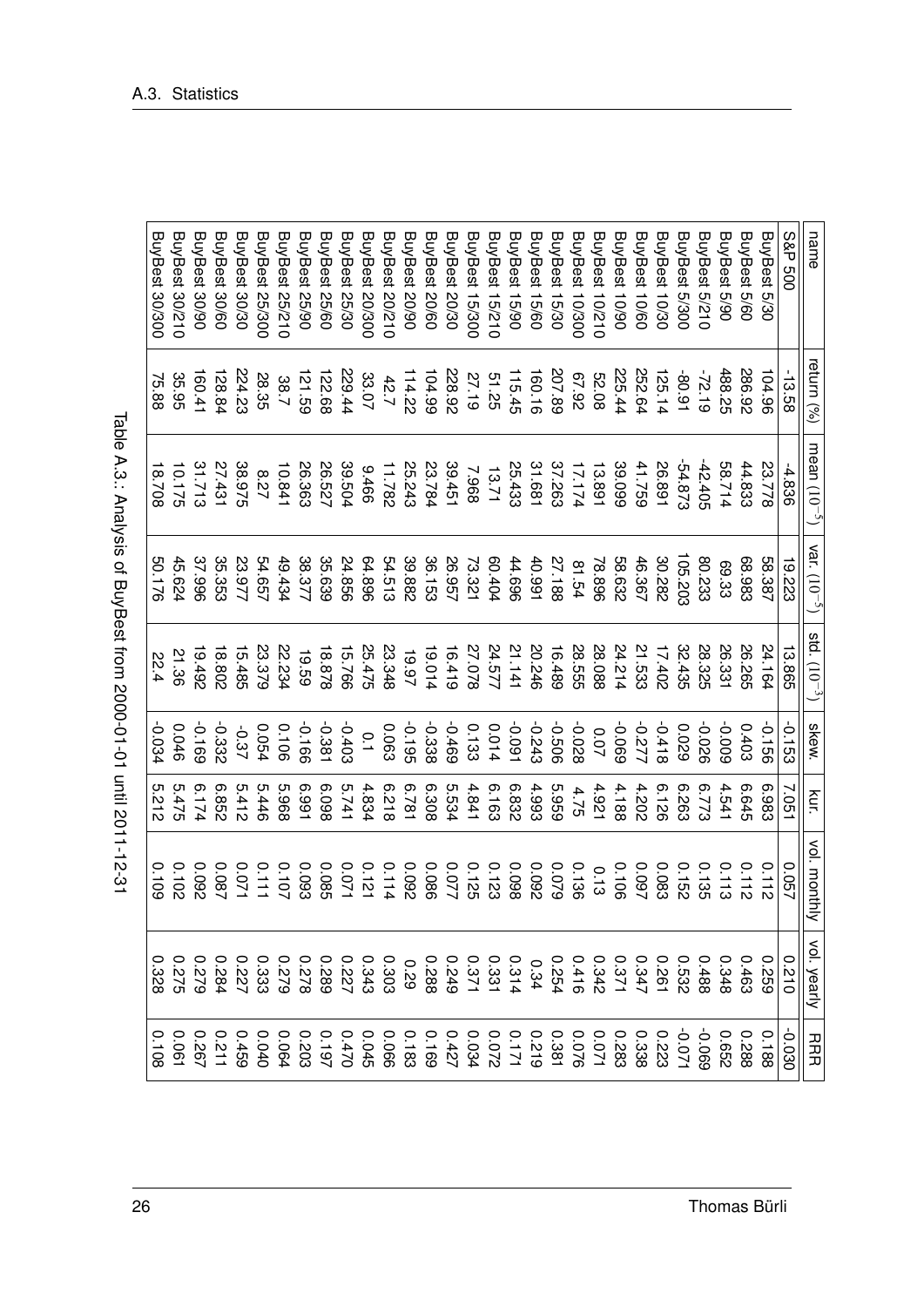| I                                                                                                                                                                                                                              |
|--------------------------------------------------------------------------------------------------------------------------------------------------------------------------------------------------------------------------------|
| l                                                                                                                                                                                                                              |
| :<br>?                                                                                                                                                                                                                         |
|                                                                                                                                                                                                                                |
|                                                                                                                                                                                                                                |
|                                                                                                                                                                                                                                |
|                                                                                                                                                                                                                                |
|                                                                                                                                                                                                                                |
|                                                                                                                                                                                                                                |
|                                                                                                                                                                                                                                |
|                                                                                                                                                                                                                                |
|                                                                                                                                                                                                                                |
| ı                                                                                                                                                                                                                              |
| l                                                                                                                                                                                                                              |
|                                                                                                                                                                                                                                |
| ı                                                                                                                                                                                                                              |
|                                                                                                                                                                                                                                |
|                                                                                                                                                                                                                                |
|                                                                                                                                                                                                                                |
|                                                                                                                                                                                                                                |
|                                                                                                                                                                                                                                |
|                                                                                                                                                                                                                                |
|                                                                                                                                                                                                                                |
| I<br>֠                                                                                                                                                                                                                         |
|                                                                                                                                                                                                                                |
| ı                                                                                                                                                                                                                              |
|                                                                                                                                                                                                                                |
|                                                                                                                                                                                                                                |
|                                                                                                                                                                                                                                |
|                                                                                                                                                                                                                                |
| in and the second control of the second control of the second control of the second control of the second control of the second control of the second control of the second control of the second control of the second contro |
|                                                                                                                                                                                                                                |
|                                                                                                                                                                                                                                |
| $\frac{1}{1}$<br>ı                                                                                                                                                                                                             |
|                                                                                                                                                                                                                                |
| ı                                                                                                                                                                                                                              |
|                                                                                                                                                                                                                                |

| name                  | eturn (%) | mean $(10^{-5})$ | var. $(10^{-5})$ | std. $(10^{-3})$ | <b>Skew.</b>   | kur.             | vol. month<br>₹ | vol. yearly | ココココ                          |
|-----------------------|-----------|------------------|------------------|------------------|----------------|------------------|-----------------|-------------|-------------------------------|
| <b>S&amp;P 500</b>    | $-13.58$  | -4.836           | 19.223           | 13.865           | $-0.153$       | 7.051            | <b>2.057</b>    | 0120        | 020.030                       |
| BuyBest 5/30          | 104.96    | 23.778           | 58.387           | 24.164           | 991.0-         | 6.983            | 0.112           |             |                               |
| BuyBest 5/60          | 286.92    | 44.833           | 68.983           | <b>26.265</b>    | 0.403          | 6.645            | 0.112           |             | $0.188$<br>$0.288$<br>$0.652$ |
| BuyBest 5/90          | 488.25    | 58.714           | 69.33            | 26.331           | 600'0-         | 4.541            | 0.113           |             |                               |
| <b>BuyBest 5/210</b>  | -72.19    | $-42.405$        | 80.233           | 28.325           | -0.026         | 6.773            | 0.135           |             | 690'0-                        |
| BuyBest 5/300         | -80.91    | 54.873           | 105.203          | 32.435           | 6200           | 6.263            | 2152            |             |                               |
| <b>BuyBest 10/30</b>  | 125.14    | 26.891           | 30.282           | 17.402           | $-0.418$       | 6.126            | 0.083           |             |                               |
| <b>BuyBest 10/60</b>  | 252.64    | 41.759           | 46.367           | 21.533           | -0.277         | 4.202            | <b>2.097</b>    |             |                               |
| <b>BuyBest 10/90</b>  | 225.44    | 39.099           | 58.632           | 24.214           | -0.069         | 4.188            | 0.106           |             |                               |
| BuyBest 10/210        | 80.25     | 13.891           | 78.896           | 28.088           | 0.07           | 4.921            | 0.13            |             |                               |
| <b>BuyBest 10/300</b> | 26'29     | 17.174           | 81.54            | 28.555           | -0.028         | 4.75             | 0.136           |             |                               |
| <b>BuyBest 15/30</b>  | 207.89    | 37.263           | 27.188           | 16.489           | 909:0-         | 5.959            | 6200            |             |                               |
| <b>BuyBest 15/60</b>  | 160.16    | 31.681           | 40.991           | 20.246           | $-0.243$       | 4.993            | 260'0           |             |                               |
| <b>BuyBest 15/90</b>  | 115.45    | 25.433           | 969'tt           | 21.141           | $-0.091$       | 6.832            | 8600            |             |                               |
| BuyBest 15/210        | 51.25     | 13.71            | 40404            | 24.577           | 0.014          | 6.163            | 0.123           |             |                               |
| <b>BuyBest 15/300</b> | 27.19     | 896'Z            | 73.321           | 87.078           | 0.133          | 4.841            | 0.125           |             |                               |
| <b>BuyBest 20/30</b>  | 228.92    | 39.451           | 26.957           | 16.419           | -0.469         | 5.534            | 770.0           |             |                               |
| BuyBest 20/60         | 104.99    | 23.784           | 36.153           | 19.014           | -0.338         | 6.308            | 0.086           |             |                               |
| <b>BuyBest 20/90</b>  | 114.22    | 25.243           | 39.882           | 19.97            | -0.195         | 187.9            | 2600            |             |                               |
| <b>BuyBest 20/210</b> | 42.7      | 11.782           | 54.513           | 23.348           | 0.063          | 8129             | 0.114           |             |                               |
| <b>BuyBest 20/300</b> | 33.07     | 9976             | 64.896           | 25.475           | $\overline{0}$ | 4.834            | 0.121           |             |                               |
| <b>BuyBest 25/30</b>  | 229.44    | 39.504           | 24.856           | 15.766           | $-0.403$       | 5.741            | 1/00            |             |                               |
| <b>BuyBest 25/60</b>  | 122.68    | 26.527           | 35.639           | 18.878           | $-0.381$       | 8.038            | 0.085           |             |                               |
| <b>BuyBest 25/90</b>  | 121.59    | 26.363           | 38.377           | 19.59            | -0.166         | 166'9            | 0.093           |             |                               |
| BuyBest 25/210        | 38.7      | 10.841           | 49.434           | 22.234           | 9010           | 896'9            | 7010            |             |                               |
| <b>BuyBest 25/300</b> | 28.35     | 728              | 54.657           | 23.379           | 450.0          | 5.446            | 0.111           |             |                               |
| <b>BuyBest 30/30</b>  | 224.23    | 38.975           | 23.977           | 15.485           | -0.37          | 5.412            | 170.0           |             |                               |
| <b>BuyBest 30/60</b>  | 128.84    | 27.431           | 35.353           | 18.802           | -0.332         | S <sub>552</sub> | 780.0           |             |                               |
| <b>BuyBest 30/90</b>  | 160.41    | 31.713           | 37.996           | 19.492           | -0.169         | 6.174            | 260'0           |             |                               |
| <b>BuyBest 30/210</b> | 35.95     | 10.175           | 45.624           | 21.36            | 0.046          | 5.475            | 2010            |             |                               |
| <b>BuyBest 30/30C</b> | 75.88     | 18.708           | 50.176           | 22.4             | 0.034          | 5.212            | 0.109           |             |                               |

A.3. Statistics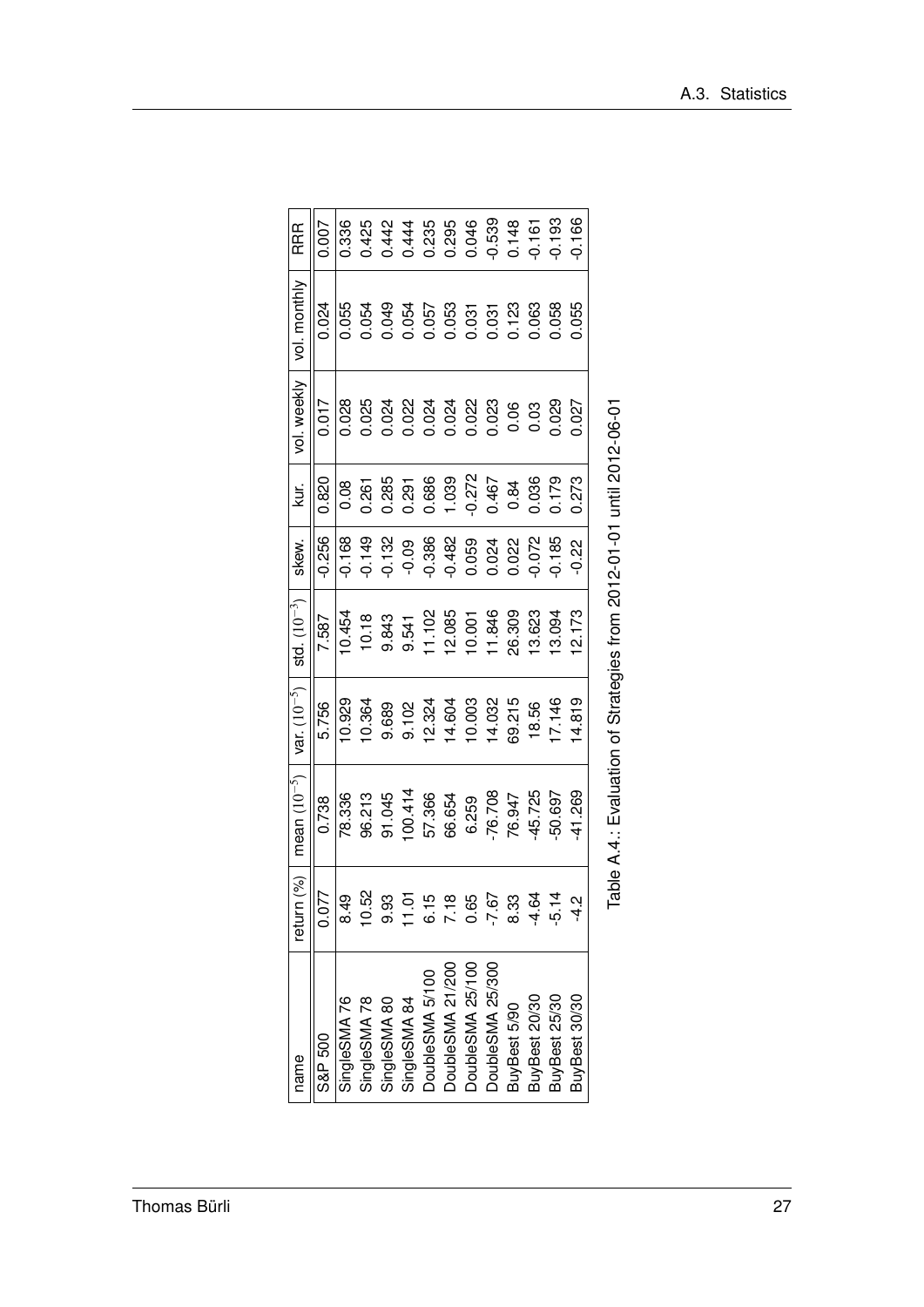| name             | (%)<br>return | mean $(10^{-5})$                                                      | var. $(10^{-5})$ | $std. (10^{-3})$ | skew.    | kur.     | vol. weekly | vol. monthly | <b>RRR</b> |
|------------------|---------------|-----------------------------------------------------------------------|------------------|------------------|----------|----------|-------------|--------------|------------|
| S&P 500          | 0.077         | 0.738                                                                 | 5.756            | 7.587            | $-0.256$ | 0.820    | 0.017       | 0.024        | 0.007      |
| SingleSMA76      | 849           | 78.336                                                                | 10.929           | 10.454           | $-0.168$ | 0.08     | 0.028       | 0.055        | 0.336      |
| SingleSMA 78     | 10.52         | 96.213                                                                | 10.364           | 10.18            | $-0.149$ | 0.261    | 0.025       | 0.054        | 0.425      |
| SingleSMA 80     | 9.93          | 91.045                                                                | 9.689            | 9.843            | $-0.132$ | 0.285    | 0.024       | 0.049        | 0.442      |
| SingleSMA 84     | 1.01          | 100.414                                                               | 9.102            | 9.541            | $-0.09$  | 0.291    | 0.022       | 0.054        | 0.444      |
| DoubleSMA 5/100  | 6.15          | 57.366                                                                | 12.324           | 11.102           | $-0.386$ | 0.686    | 0.024       | 0.057        | 0.235      |
| DoubleSMA 21/200 | 7.18          | 66.654                                                                | 4.604            | 2.085            | $-0.482$ | 1.039    | 0.024       | 0.053        | 0.295      |
| DoubleSMA 25/100 | 0.65          | 6.259                                                                 | 10.003           | 10.001           | 0.059    | $-0.272$ | 0.022       | 0.031        | 0.046      |
| DoubleSMA 25/300 | $-7.67$       | $-76.708$                                                             | 14.032           | 11.846           | 0.024    | 0.467    | 0.23        | 0.031        | $-0.539$   |
| BuyBest 5/90     | 8.33          | 76.947                                                                | 69.215           | 26.309           | 0.022    | 0.84     | 0.06        | 0.123        | 0.148      |
| BuyBest 20/30    | $-4.64$       | -45.725                                                               | 18.56            | 3.623            | $-0.072$ | 0.036    | 0.03        | 0.063        | $-0.161$   |
| BuyBest 25/30    | $-5.14$       | 50.697                                                                | 7.146            | 3.094            | 0.185    | 0.179    | 0.029       | 0.058        | $-0.193$   |
| BuyBest 30/30    |               | $-41.269$                                                             | 4.819            | <b>12.173</b>    | $-0.22$  | 0.273    | 0.027       | 0.055        | $-0.166$   |
|                  |               | Table A.4.: Evaluation of Strategies from 2012-01-01 until 2012-06-01 |                  |                  |          |          |             |              |            |

| I                  |
|--------------------|
|                    |
| is and direction   |
|                    |
| $\frac{1}{2}$      |
|                    |
|                    |
|                    |
|                    |
| こうてん てんこう          |
| i                  |
|                    |
|                    |
|                    |
|                    |
| -<br>-<br>-<br>-   |
|                    |
|                    |
| ・・・・・・             |
|                    |
|                    |
|                    |
|                    |
|                    |
|                    |
|                    |
| - i<br>-<br>-<br>ī |
|                    |
|                    |
|                    |
|                    |
| ์<br>ว<br>ı<br>j   |
|                    |
|                    |
|                    |
|                    |
|                    |
| ・コード               |
|                    |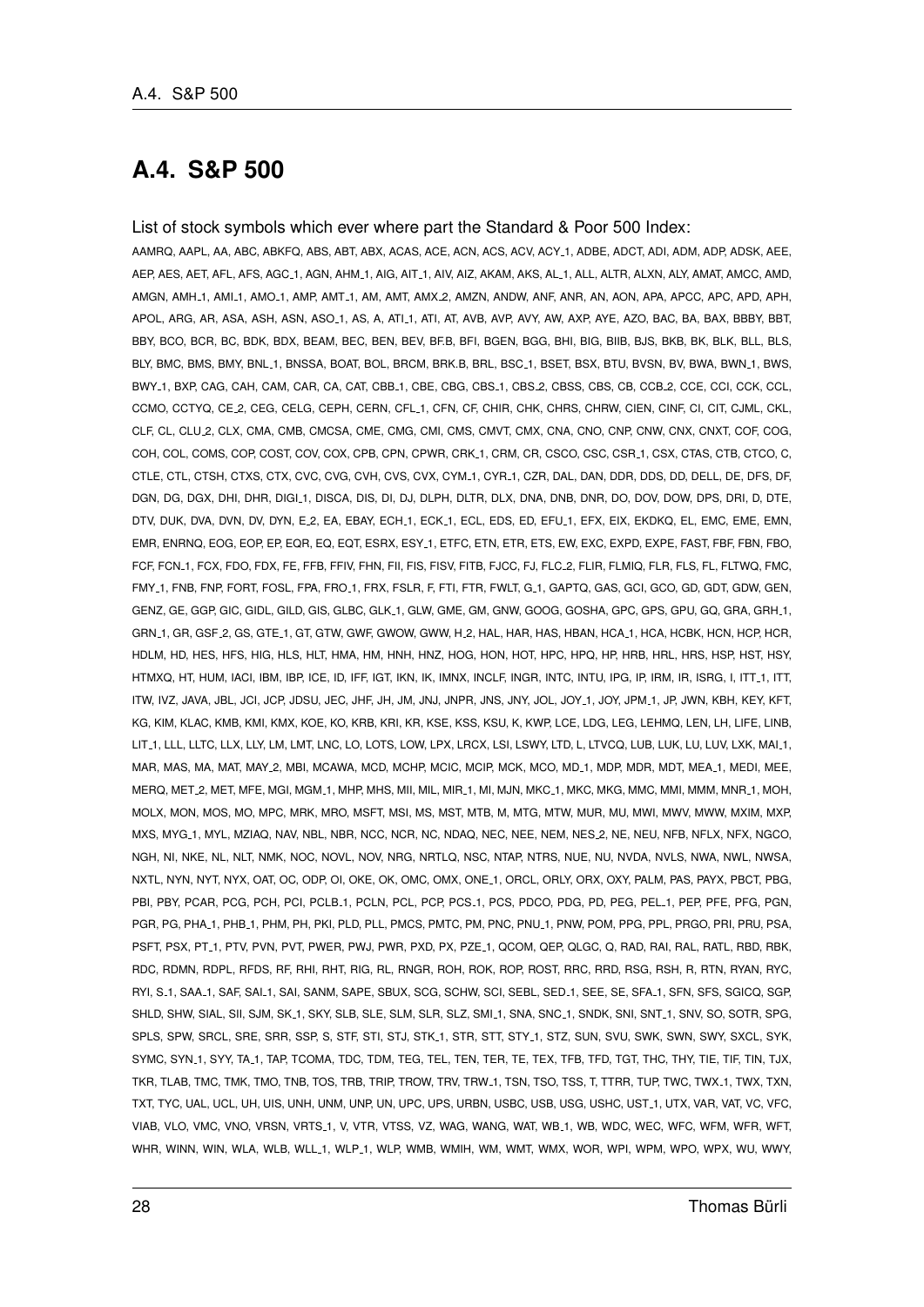### **A.4. S&P 500**

#### List of stock symbols which ever where part the Standard & Poor 500 Index:

AAMRQ, AAPL, AA, ABC, ABKFQ, ABS, ABT, ABX, ACAS, ACE, ACN, ACS, ACV, ACY 1, ADBE, ADCT, ADI, ADM, ADP, ADSK, AEE, AEP, AES, AET, AFL, AFS, AGC 1, AGN, AHM 1, AIG, AIT 1, AIV, AIZ, AKAM, AKS, AL 1, ALL, ALTR, ALXN, ALY, AMAT, AMCC, AMD, AMGN, AMH 1, AMI 1, AMO 1, AMP, AMT 1, AM, AMT, AMX 2, AMZN, ANDW, ANF, ANR, AN, AON, APA, APCC, APC, APD, APH, APOL, ARG, AR, ASA, ASH, ASN, ASO\_1, AS, A, ATI\_1, ATI, AT, AVB, AVP, AVY, AW, AXP, AYE, AZO, BAC, BA, BAX, BBBY, BBT, BBY, BCO, BCR, BC, BDK, BDX, BEAM, BEC, BEN, BEV, BF.B, BFI, BGEN, BGG, BHI, BIG, BIIB, BJS, BKB, BK, BLK, BLL, BLS, BLY, BMC, BMS, BMY, BNL\_1, BNSSA, BOAT, BOL, BRCM, BRK.B, BRL, BSC\_1, BSET, BSX, BTU, BVSN, BV, BWA, BWN\_1, BWS, BWY 1, BXP, CAG, CAH, CAM, CAR, CA, CAT, CBB 1, CBE, CBG, CBS 1, CBS 2, CBSS, CBS, CB, CCB 2, CCE, CCI, CCK, CCL, CCMO, CCTYQ, CE 2, CEG, CELG, CEPH, CERN, CFL 1, CFN, CF, CHIR, CHK, CHRS, CHRW, CIEN, CINF, CI, CIT, CJML, CKL, CLF, CL, CLU 2, CLX, CMA, CMB, CMCSA, CME, CMG, CMI, CMS, CMVT, CMX, CNA, CNO, CNP, CNW, CNX, CNXT, COF, COG, COH, COL, COMS, COP, COST, COV, COX, CPB, CPN, CPWR, CRK.1, CRM, CR, CSCO, CSC, CSR.1, CSX, CTAS, CTB, CTCO, C, CTLE, CTL, CTSH, CTXS, CTX, CVC, CVG, CVH, CVS, CVX, CYM\_1, CYR\_1, CZR, DAL, DAN, DDR, DDS, DD, DELL, DE, DFS, DF, DGN, DG, DGX, DHI, DHR, DIGI 1, DISCA, DIS, DI, DJ, DLPH, DLTR, DLX, DNA, DNB, DNR, DO, DOV, DOW, DPS, DRI, D, DTE, DTV, DUK, DVA, DVN, DV, DYN, E.2, EA, EBAY, ECH.1, ECK.1, ECL, EDS, ED, EFU.1, EFX, EIX, EKDKQ, EL, EMC, EME, EMN, EMR, ENRNQ, EOG, EOP, EP, EQR, EQ, EQT, ESRX, ESY 1, ETFC, ETN, ETR, ETS, EW, EXC, EXPD, EXPE, FAST, FBF, FBN, FBO, FCF, FCN\_1, FCX, FDO, FDX, FE, FFB, FFIV, FHN, FII, FIS, FISV, FITB, FJCC, FJ, FLC\_2, FLIR, FLMIQ, FLR, FLS, FL, FLTWQ, FMC, FMY 1, FNB, FNP, FORT, FOSL, FPA, FRO 1, FRX, FSLR, F, FTI, FTR, FWLT, G 1, GAPTQ, GAS, GCI, GCO, GD, GDT, GDW, GEN, GENZ, GE, GGP, GIC, GIDL, GILD, GIS, GLBC, GLK 1, GLW, GME, GM, GNW, GOOG, GOSHA, GPC, GPS, GPU, GQ, GRA, GRH 1, GRN 1, GR, GSF 2, GS, GTE 1, GT, GTW, GWF, GWOW, GWW, H 2, HAL, HAR, HAS, HBAN, HCA 1, HCA, HCBK, HCN, HCP, HCR, HDLM, HD, HES, HFS, HIG, HLS, HLT, HMA, HM, HNH, HNZ, HOG, HON, HOT, HPC, HPQ, HP, HRB, HRL, HRS, HSP, HST, HSY, HTMXQ, HT, HUM, IACI, IBM, IBP, ICE, ID, IFF, IGT, IKN, IK, IMNX, INCLF, INGR, INTC, INTU, IPG, IP, IRM, IR, ISRG, I, ITT 1, ITT, ITW, IVZ, JAVA, JBL, JCI, JCP, JDSU, JEC, JHF, JH, JM, JNJ, JNPR, JNS, JNY, JOL, JOY 1, JOY, JPM 1, JP, JWN, KBH, KEY, KFT, KG, KIM, KLAC, KMB, KMI, KMX, KOE, KO, KRB, KRI, KR, KSE, KSS, KSU, K, KWP, LCE, LDG, LEG, LEHMQ, LEN, LH, LIFE, LINB, LIT\_1, LLL, LLTC, LLX, LLY, LM, LMT, LNC, LO, LOTS, LOW, LPX, LRCX, LSI, LSWY, LTD, L, LTVCQ, LUB, LUK, LU, LUV, LXK, MAI\_1, MAR, MAS, MA, MAT, MAY 2, MBI, MCAWA, MCD, MCHP, MCIC, MCIP, MCK, MCO, MD 1, MDP, MDR, MDT, MEA 1, MEDI, MEE, MERQ, MET 2, MET, MFE, MGI, MGM 1, MHP, MHS, MII, MIL, MIR 1, MI, MJN, MKC 1, MKC, MKG, MMC, MMI, MMM, MNR 1, MOH, MOLX, MON, MOS, MO, MPC, MRK, MRO, MSFT, MSI, MS, MST, MTB, M, MTG, MTW, MUR, MU, MWI, MWV, MWW, MXIM, MXP, MXS, MYG 1, MYL, MZIAQ, NAV, NBL, NBR, NCC, NCR, NC, NDAQ, NEC, NEE, NEM, NES 2, NE, NEU, NFB, NFLX, NFX, NGCO, NGH, NI, NKE, NL, NLT, NMK, NOC, NOVL, NOV, NRG, NRTLQ, NSC, NTAP, NTRS, NUE, NU, NVDA, NVLS, NWA, NWL, NWSA, NXTL, NYN, NYT, NYX, OAT, OC, ODP, OI, OKE, OK, OMC, OMX, ONE 1, ORCL, ORLY, ORX, OXY, PALM, PAS, PAYX, PBCT, PBG, PBI, PBY, PCAR, PCG, PCH, PCI, PCLB\_1, PCLN, PCL, PCP, PCS\_1, PCS, PDCO, PDG, PD, PEG, PEL\_1, PEP, PFE, PFG, PGN, PGR, PG, PHA 1, PHB 1, PHM, PH, PKI, PLD, PLL, PMCS, PMTC, PM, PNC, PNU 1, PNW, POM, PPG, PPL, PRGO, PRI, PRU, PSA, PSFT, PSX, PT 1, PTV, PVN, PVT, PWER, PWJ, PWR, PXD, PX, PZE 1, QCOM, QEP, QLGC, Q, RAD, RAI, RAL, RATL, RBD, RBK, RDC, RDMN, RDPL, RFDS, RF, RHI, RHT, RIG, RL, RNGR, ROH, ROK, ROP, ROST, RRC, RRD, RSG, RSH, R, RTN, RYAN, RYC, RYI, S.1, SAA.1, SAF, SAI.1, SAI, SANM, SAPE, SBUX, SCG, SCHW, SCI, SEBL, SED.1, SEE, SF, SFA.1, SFN, SFS, SGICQ, SGP, SHLD, SHW, SIAL, SII, SJM, SK.1, SKY, SLB, SLE, SLM, SLR, SLZ, SMI.1, SNA, SNC.1, SNDK, SNI, SNT.1, SNV, SO, SOTR, SPG, SPLS, SPW, SRCL, SRE, SRR, SSP, S, STF, STI, STJ, STK 1, STR, STT, STY 1, STZ, SUN, SVU, SWK, SWN, SWY, SXCL, SYK, SYMC, SYN\_1, SYY, TA\_1, TAP, TCOMA, TDC, TDM, TEG, TEL, TEN, TER, TE, TEX, TFB, TFD, TGT, THC, THY, TIE, TIF, TIN, TJX, TKR, TLAB, TMC, TMK, TMO, TNB, TOS, TRB, TRIP, TROW, TRV, TRW 1, TSN, TSO, TSS, T, TTRR, TUP, TWC, TWX 1, TWX, TXN, TXT, TYC, UAL, UCL, UH, UIS, UNH, UNM, UNP, UN, UPC, UPS, URBN, USBC, USB, USG, USHC, UST 1, UTX, VAR, VAT, VC, VFC, VIAB, VLO, VMC, VNO, VRSN, VRTS 1, V, VTR, VTSS, VZ, WAG, WANG, WAT, WB 1, WB, WDC, WEC, WFC, WFM, WFR, WFT, WHR, WINN, WIN, WLA, WLB, WLL\_1, WLP\_1, WLP, WMB, WMIH, WM, WMT, WMX, WOR, WPI, WPM, WPO, WPX, WU, WWY,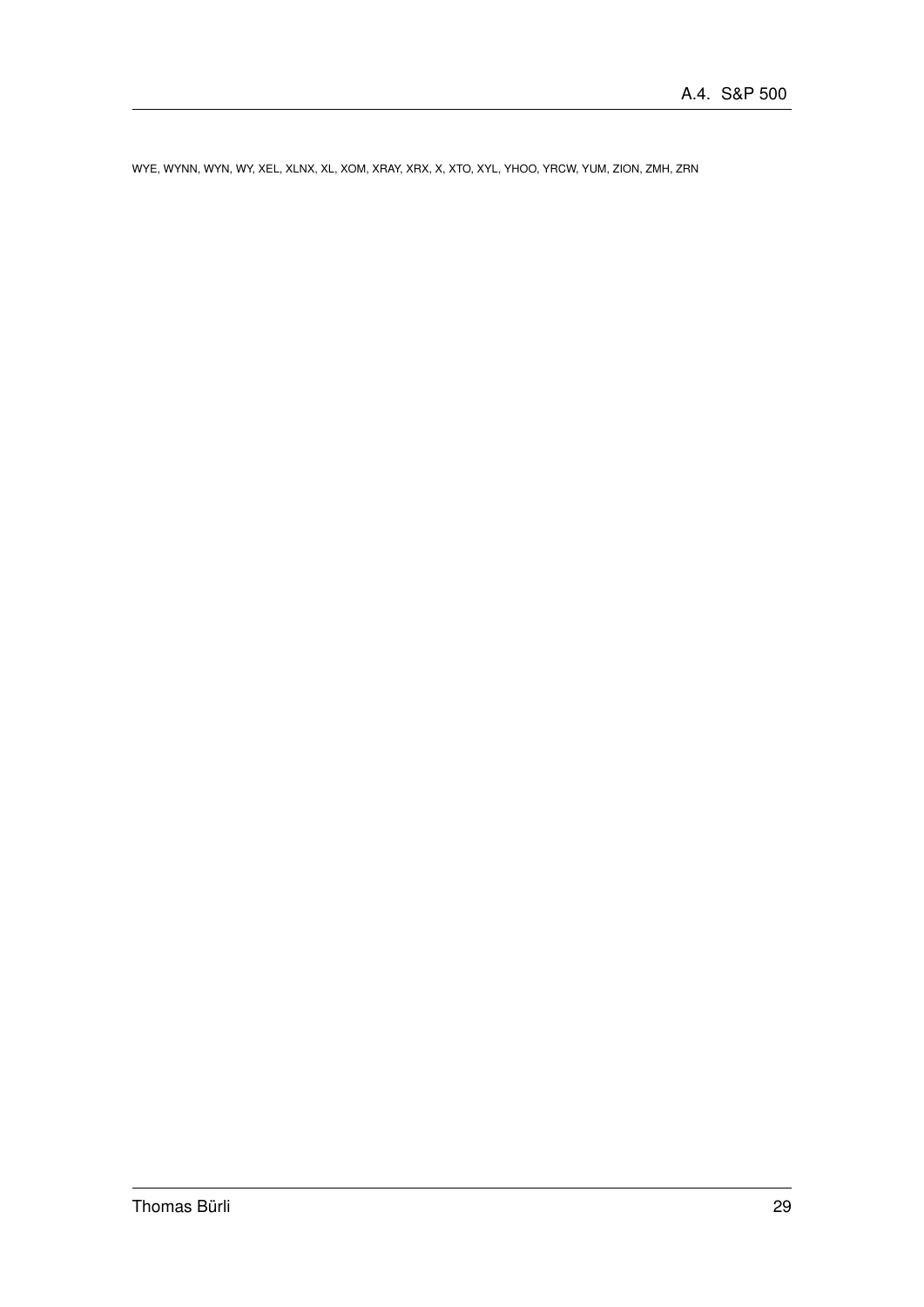WYE, WYNN, WYN, WY, XEL, XLNX, XL, XOM, XRAY, XRX, X, XTO, XYL, YHOO, YRCW, YUM, ZION, ZMH, ZRN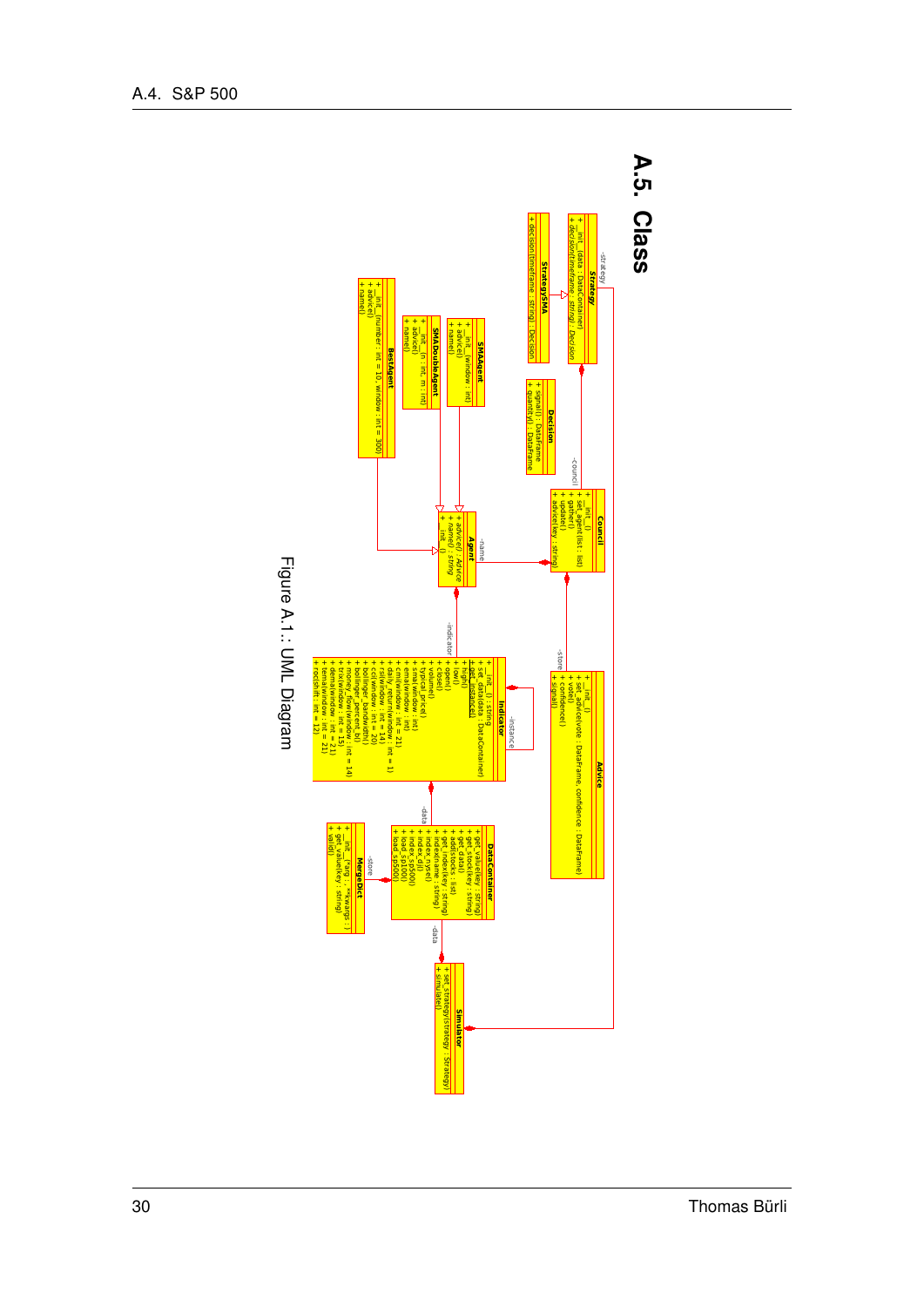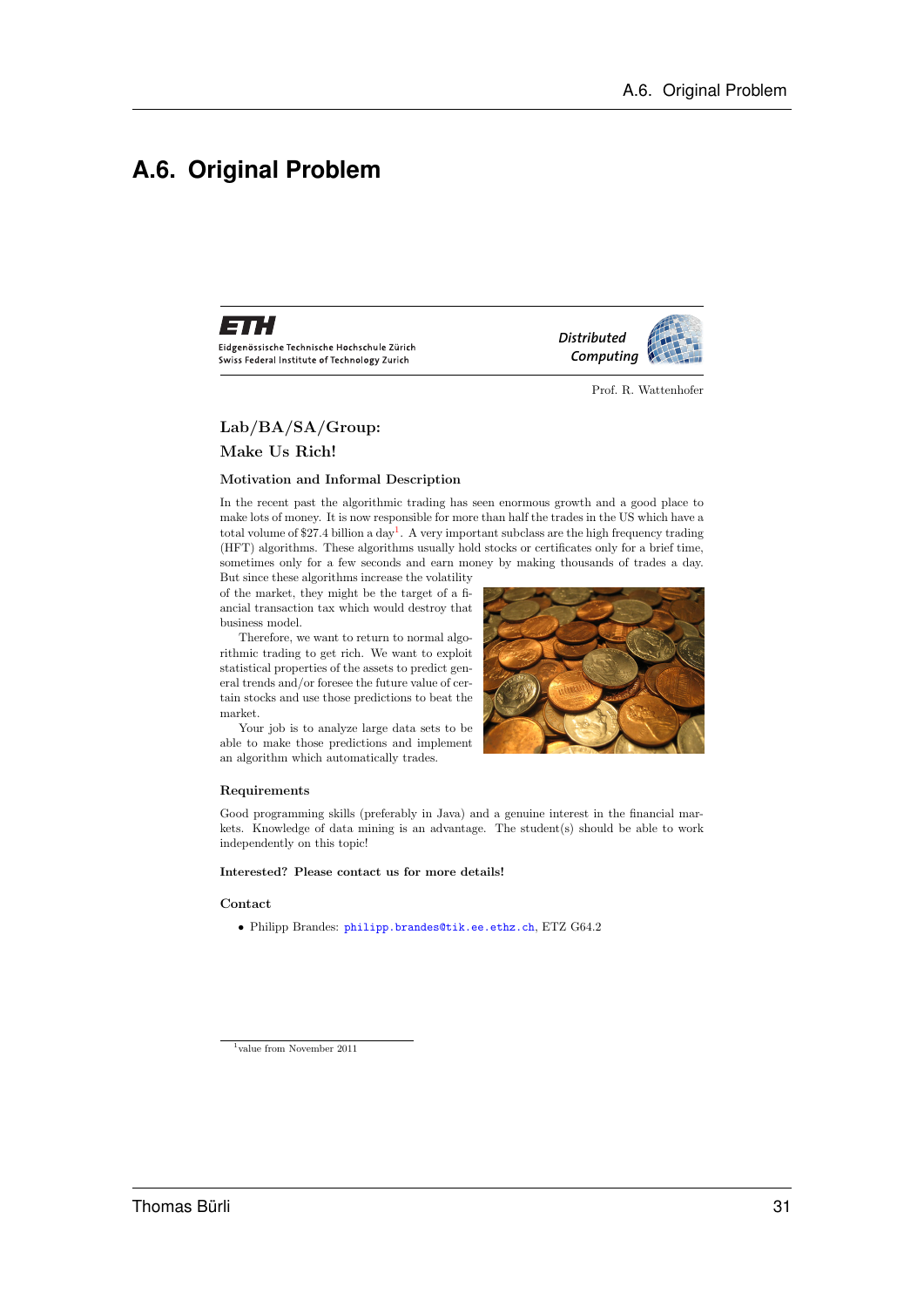### **A.6. Original Problem**



Eidgenössische Technische Hochschule Zürich Swiss Federal Institute of Technology Zurich



*Distributed*

Prof. R. Wattenhofer

#### Lab/BA/SA/Group:

Make Us Rich!

#### Motivation and Informal Description

In the recent past the algorithmic trading has seen enormous growth and a good place to make lots of money. It is now responsible for more than half the trades in the US which have a total volume of \$27.4 billion a day<sup>1</sup>. A very important subclass are the high frequency trading (HFT) algorithms. These algorithms usually hold stocks or certificates only for a brief time, sometimes only for a few seconds and earn money by making thousands of trades a day.

But since these algorithms increase the volatility of the market, they might be the target of a fiancial transaction tax which would destroy that business model.

Therefore, we want to return to normal algorithmic trading to get rich. We want to exploit statistical properties of the assets to predict general trends and/or foresee the future value of certain stocks and use those predictions to beat the market.

Your job is to analyze large data sets to be able to make those predictions and implement an algorithm which automatically trades.



#### Requirements

Good programming skills (preferably in Java) and a genuine interest in the financial markets. Knowledge of data mining is an advantage. The student(s) should be able to work independently on this topic!

#### Interested? Please contact us for more details!

#### Contact

• Philipp Brandes: philipp.brandes@tik.ee.ethz.ch, ETZ G64.2

<sup>&</sup>lt;sup>1</sup>value from November 2011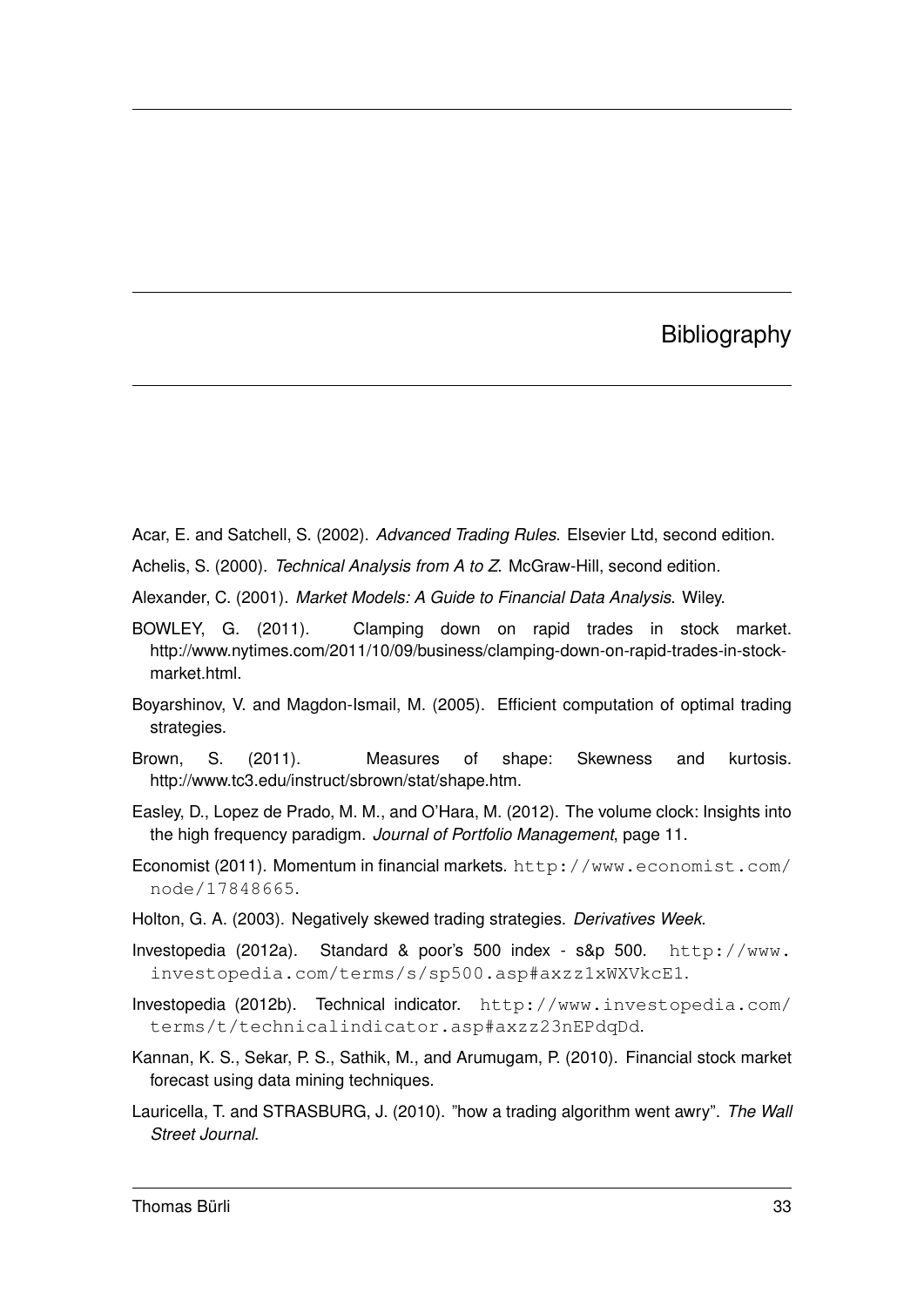### **Bibliography**

Acar, E. and Satchell, S. (2002). *Advanced Trading Rules*. Elsevier Ltd, second edition.

Achelis, S. (2000). *Technical Analysis from A to Z*. McGraw-Hill, second edition.

Alexander, C. (2001). *Market Models: A Guide to Financial Data Analysis*. Wiley.

- BOWLEY, G. (2011). Clamping down on rapid trades in stock market. http://www.nytimes.com/2011/10/09/business/clamping-down-on-rapid-trades-in-stockmarket.html.
- Boyarshinov, V. and Magdon-Ismail, M. (2005). Efficient computation of optimal trading strategies.
- Brown, S. (2011). Measures of shape: Skewness and kurtosis. http://www.tc3.edu/instruct/sbrown/stat/shape.htm.
- Easley, D., Lopez de Prado, M. M., and O'Hara, M. (2012). The volume clock: Insights into the high frequency paradigm. *Journal of Portfolio Management*, page 11.
- Economist (2011). Momentum in financial markets. http://www.economist.com/ node/17848665.
- Holton, G. A. (2003). Negatively skewed trading strategies. *Derivatives Week*.
- Investopedia (2012a). Standard & poor's 500 index s&p 500. http://www. investopedia.com/terms/s/sp500.asp#axzz1xWXVkcE1.
- Investopedia (2012b). Technical indicator. http://www.investopedia.com/ terms/t/technicalindicator.asp#axzz23nEPdqDd.
- Kannan, K. S., Sekar, P. S., Sathik, M., and Arumugam, P. (2010). Financial stock market forecast using data mining techniques.
- Lauricella, T. and STRASBURG, J. (2010). "how a trading algorithm went awry". *The Wall Street Journal*.